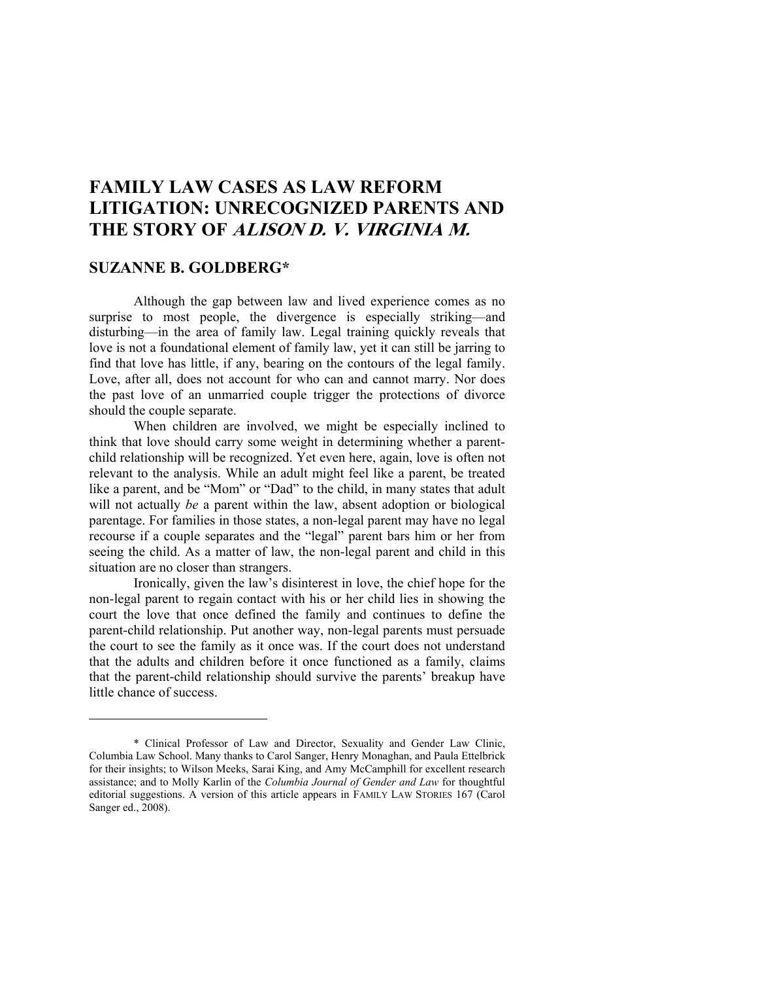# **FAMILY LAW CASES AS LAW REFORM LITIGATION: UNRECOGNIZED PARENTS AND THE STORY OF ALISON D. V. VIRGINIA M.**

# **SUZANNE B. GOLDBERG\***

 $\overline{a}$ 

Although the gap between law and lived experience comes as no surprise to most people, the divergence is especially striking—and disturbing—in the area of family law. Legal training quickly reveals that love is not a foundational element of family law, yet it can still be jarring to find that love has little, if any, bearing on the contours of the legal family. Love, after all, does not account for who can and cannot marry. Nor does the past love of an unmarried couple trigger the protections of divorce should the couple separate.

When children are involved, we might be especially inclined to think that love should carry some weight in determining whether a parentchild relationship will be recognized. Yet even here, again, love is often not relevant to the analysis. While an adult might feel like a parent, be treated like a parent, and be "Mom" or "Dad" to the child, in many states that adult will not actually *be* a parent within the law, absent adoption or biological parentage. For families in those states, a non-legal parent may have no legal recourse if a couple separates and the "legal" parent bars him or her from seeing the child. As a matter of law, the non-legal parent and child in this situation are no closer than strangers.

Ironically, given the law's disinterest in love, the chief hope for the non-legal parent to regain contact with his or her child lies in showing the court the love that once defined the family and continues to define the parent-child relationship. Put another way, non-legal parents must persuade the court to see the family as it once was. If the court does not understand that the adults and children before it once functioned as a family, claims that the parent-child relationship should survive the parents' breakup have little chance of success.

<sup>\*</sup> Clinical Professor of Law and Director, Sexuality and Gender Law Clinic, Columbia Law School. Many thanks to Carol Sanger, Henry Monaghan, and Paula Ettelbrick for their insights; to Wilson Meeks, Sarai King, and Amy McCamphill for excellent research assistance; and to Molly Karlin of the *Columbia Journal of Gender and Law* for thoughtful editorial suggestions. A version of this article appears in FAMILY LAW STORIES 167 (Carol Sanger ed., 2008).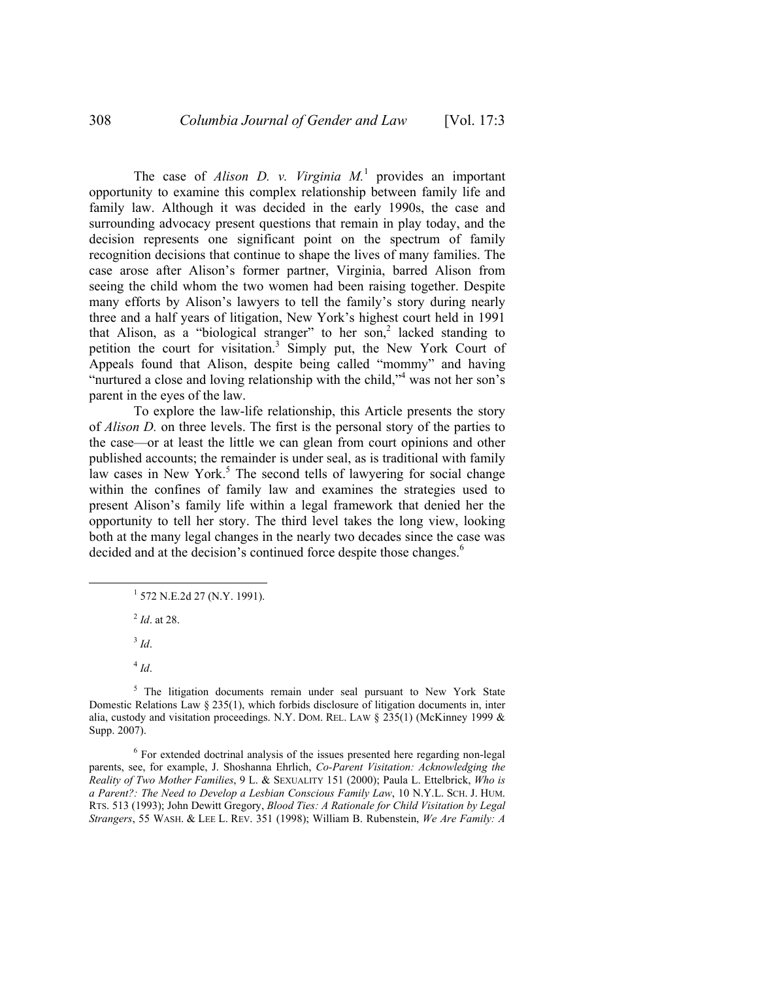The case of *Alison D. v. Virginia*  $M<sup>1</sup>$  provides an important opportunity to examine this complex relationship between family life and family law. Although it was decided in the early 1990s, the case and surrounding advocacy present questions that remain in play today, and the decision represents one significant point on the spectrum of family recognition decisions that continue to shape the lives of many families. The case arose after Alison's former partner, Virginia, barred Alison from seeing the child whom the two women had been raising together. Despite many efforts by Alison's lawyers to tell the family's story during nearly three and a half years of litigation, New York's highest court held in 1991 that Alison, as a "biological stranger" to her son,<sup>2</sup> lacked standing to petition the court for visitation.<sup>3</sup> Simply put, the New York Court of Appeals found that Alison, despite being called "mommy" and having "nurtured a close and loving relationship with the child,"<sup>4</sup> was not her son's parent in the eyes of the law.

To explore the law-life relationship, this Article presents the story of *Alison D.* on three levels. The first is the personal story of the parties to the case—or at least the little we can glean from court opinions and other published accounts; the remainder is under seal, as is traditional with family law cases in New York.<sup>5</sup> The second tells of lawyering for social change within the confines of family law and examines the strategies used to present Alison's family life within a legal framework that denied her the opportunity to tell her story. The third level takes the long view, looking both at the many legal changes in the nearly two decades since the case was decided and at the decision's continued force despite those changes.<sup>6</sup>

 $\frac{1}{1}$  $1$  572 N.E.2d 27 (N.Y. 1991).

2  *Id*. at 28.

 $3$  *Id.* 

<sup>5</sup> The litigation documents remain under seal pursuant to New York State Domestic Relations Law  $\S 235(1)$ , which forbids disclosure of litigation documents in, inter alia, custody and visitation proceedings. N.Y. Dom. REL. LAW  $\S$  235(1) (McKinney 1999  $\&$ Supp. 2007).

<sup>6</sup> For extended doctrinal analysis of the issues presented here regarding non-legal parents, see, for example, J. Shoshanna Ehrlich, *Co-Parent Visitation: Acknowledging the Reality of Two Mother Families*, 9 L. & SEXUALITY 151 (2000); Paula L. Ettelbrick, *Who is a Parent?: The Need to Develop a Lesbian Conscious Family Law*, 10 N.Y.L. SCH. J. HUM. RTS. 513 (1993); John Dewitt Gregory, *Blood Ties: A Rationale for Child Visitation by Legal Strangers*, 55 WASH. & LEE L. REV. 351 (1998); William B. Rubenstein, *We Are Family: A* 

 $4$  *Id.*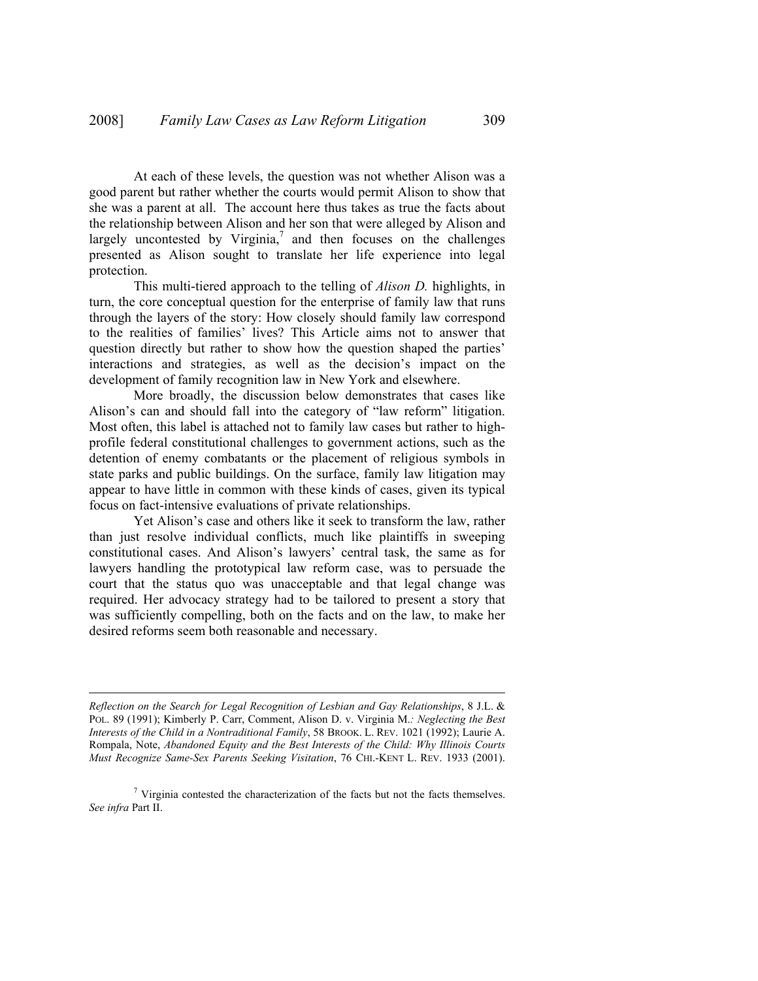At each of these levels, the question was not whether Alison was a good parent but rather whether the courts would permit Alison to show that she was a parent at all. The account here thus takes as true the facts about the relationship between Alison and her son that were alleged by Alison and largely uncontested by Virginia, $^7$  and then focuses on the challenges presented as Alison sought to translate her life experience into legal protection.

This multi-tiered approach to the telling of *Alison D.* highlights, in turn, the core conceptual question for the enterprise of family law that runs through the layers of the story: How closely should family law correspond to the realities of families' lives? This Article aims not to answer that question directly but rather to show how the question shaped the parties' interactions and strategies, as well as the decision's impact on the development of family recognition law in New York and elsewhere.

More broadly, the discussion below demonstrates that cases like Alison's can and should fall into the category of "law reform" litigation. Most often, this label is attached not to family law cases but rather to highprofile federal constitutional challenges to government actions, such as the detention of enemy combatants or the placement of religious symbols in state parks and public buildings. On the surface, family law litigation may appear to have little in common with these kinds of cases, given its typical focus on fact-intensive evaluations of private relationships.

Yet Alison's case and others like it seek to transform the law, rather than just resolve individual conflicts, much like plaintiffs in sweeping constitutional cases. And Alison's lawyers' central task, the same as for lawyers handling the prototypical law reform case, was to persuade the court that the status quo was unacceptable and that legal change was required. Her advocacy strategy had to be tailored to present a story that was sufficiently compelling, both on the facts and on the law, to make her desired reforms seem both reasonable and necessary.

*Reflection on the Search for Legal Recognition of Lesbian and Gay Relationships*, 8 J.L. & POL. 89 (1991); Kimberly P. Carr, Comment, Alison D. v. Virginia M.*: Neglecting the Best Interests of the Child in a Nontraditional Family*, 58 BROOK. L. REV. 1021 (1992); Laurie A. Rompala, Note, *Abandoned Equity and the Best Interests of the Child: Why Illinois Courts Must Recognize Same-Sex Parents Seeking Visitation*, 76 CHI.-KENT L. REV. 1933 (2001).

 $\overline{a}$ 

 $7$  Virginia contested the characterization of the facts but not the facts themselves. *See infra* Part II.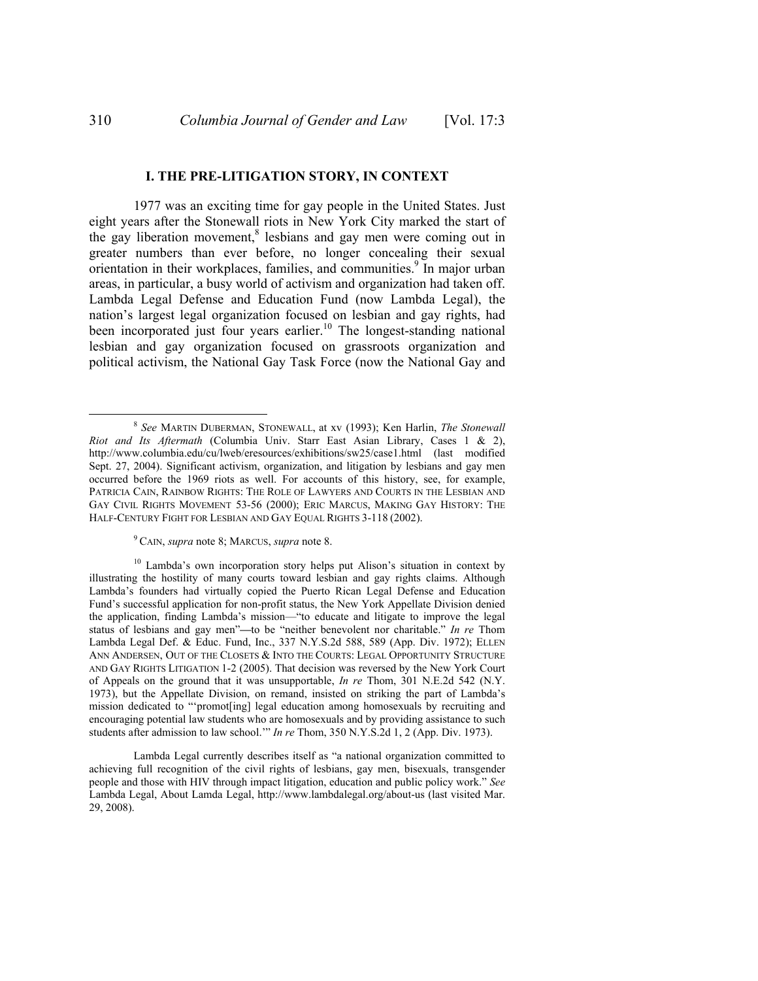1977 was an exciting time for gay people in the United States. Just eight years after the Stonewall riots in New York City marked the start of the gay liberation movement,<sup>8</sup> lesbians and gay men were coming out in greater numbers than ever before, no longer concealing their sexual orientation in their workplaces, families, and communities.<sup>9</sup> In major urban areas, in particular, a busy world of activism and organization had taken off. Lambda Legal Defense and Education Fund (now Lambda Legal), the nation's largest legal organization focused on lesbian and gay rights, had been incorporated just four years earlier.<sup>10</sup> The longest-standing national lesbian and gay organization focused on grassroots organization and political activism, the National Gay Task Force (now the National Gay and

<sup>9</sup> CAIN, *supra* note 8; MARCUS, *supra* note 8.

 $\frac{1}{8}$  *See* MARTIN DUBERMAN, STONEWALL, at xv (1993); Ken Harlin, *The Stonewall Riot and Its Aftermath* (Columbia Univ. Starr East Asian Library, Cases 1 & 2), http://www.columbia.edu/cu/lweb/eresources/exhibitions/sw25/case1.html (last modified Sept. 27, 2004). Significant activism, organization, and litigation by lesbians and gay men occurred before the 1969 riots as well. For accounts of this history, see, for example, PATRICIA CAIN, RAINBOW RIGHTS: THE ROLE OF LAWYERS AND COURTS IN THE LESBIAN AND GAY CIVIL RIGHTS MOVEMENT 53-56 (2000); ERIC MARCUS, MAKING GAY HISTORY: THE HALF-CENTURY FIGHT FOR LESBIAN AND GAY EQUAL RIGHTS 3-118 (2002).

<sup>&</sup>lt;sup>10</sup> Lambda's own incorporation story helps put Alison's situation in context by illustrating the hostility of many courts toward lesbian and gay rights claims. Although Lambda's founders had virtually copied the Puerto Rican Legal Defense and Education Fund's successful application for non-profit status, the New York Appellate Division denied the application, finding Lambda's mission—"to educate and litigate to improve the legal status of lesbians and gay men"**—**to be "neither benevolent nor charitable." *In re* Thom Lambda Legal Def. & Educ. Fund, Inc., 337 N.Y.S.2d 588, 589 (App. Div. 1972); ELLEN ANN ANDERSEN, OUT OF THE CLOSETS & INTO THE COURTS: LEGAL OPPORTUNITY STRUCTURE AND GAY RIGHTS LITIGATION 1-2 (2005). That decision was reversed by the New York Court of Appeals on the ground that it was unsupportable, *In re* Thom, 301 N.E.2d 542 (N.Y. 1973), but the Appellate Division, on remand, insisted on striking the part of Lambda's mission dedicated to "'promot[ing] legal education among homosexuals by recruiting and encouraging potential law students who are homosexuals and by providing assistance to such students after admission to law school.'" *In re* Thom, 350 N.Y.S.2d 1, 2 (App. Div. 1973).

Lambda Legal currently describes itself as "a national organization committed to achieving full recognition of the civil rights of lesbians, gay men, bisexuals, transgender people and those with HIV through impact litigation, education and public policy work." *See* Lambda Legal, About Lamda Legal, http://www.lambdalegal.org/about-us (last visited Mar. 29, 2008).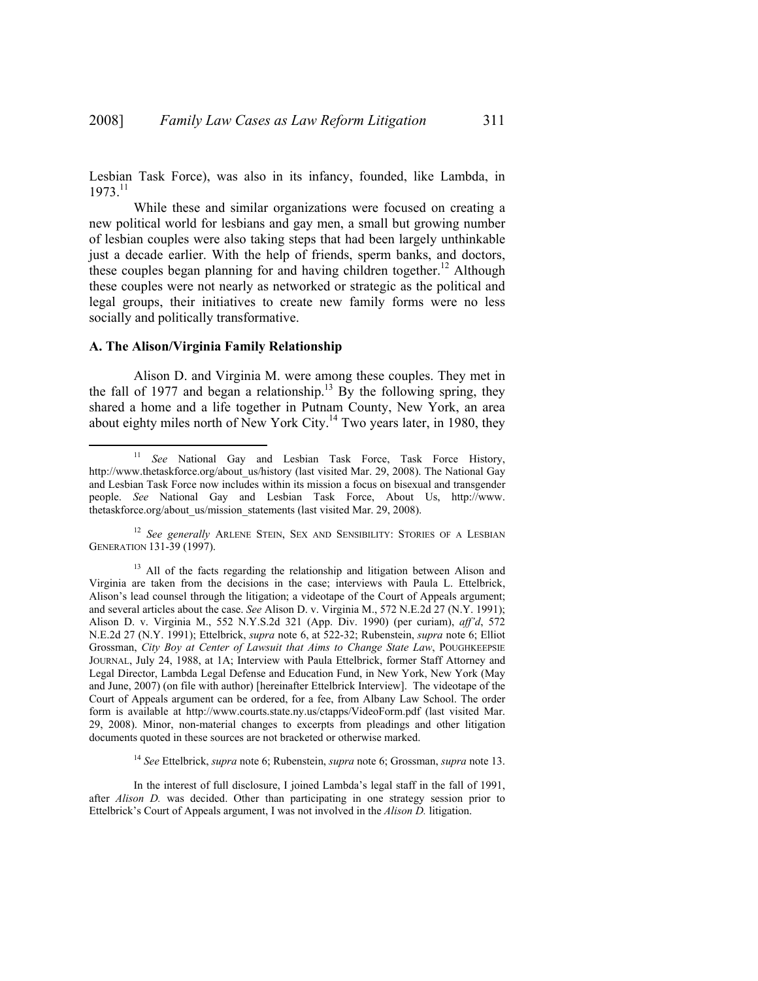Lesbian Task Force), was also in its infancy, founded, like Lambda, in 1973.11

While these and similar organizations were focused on creating a new political world for lesbians and gay men, a small but growing number of lesbian couples were also taking steps that had been largely unthinkable just a decade earlier. With the help of friends, sperm banks, and doctors, these couples began planning for and having children together.<sup>12</sup> Although these couples were not nearly as networked or strategic as the political and legal groups, their initiatives to create new family forms were no less socially and politically transformative.

#### **A. The Alison/Virginia Family Relationship**

Alison D. and Virginia M. were among these couples. They met in the fall of 1977 and began a relationship.<sup>13</sup> By the following spring, they shared a home and a life together in Putnam County, New York, an area about eighty miles north of New York City.14 Two years later, in 1980, they

<sup>14</sup> *See* Ettelbrick, *supra* note 6; Rubenstein, *supra* note 6; Grossman, *supra* note 13.

 <sup>11</sup> *See* National Gay and Lesbian Task Force, Task Force History, http://www.thetaskforce.org/about\_us/history (last visited Mar. 29, 2008). The National Gay and Lesbian Task Force now includes within its mission a focus on bisexual and transgender people. *See* National Gay and Lesbian Task Force, About Us, http://www. thetaskforce.org/about\_us/mission\_statements (last visited Mar. 29, 2008).

<sup>&</sup>lt;sup>12</sup> See generally ARLENE STEIN, SEX AND SENSIBILITY: STORIES OF A LESBIAN GENERATION 131-39 (1997).

 $13$  All of the facts regarding the relationship and litigation between Alison and Virginia are taken from the decisions in the case; interviews with Paula L. Ettelbrick, Alison's lead counsel through the litigation; a videotape of the Court of Appeals argument; and several articles about the case. *See* Alison D. v. Virginia M., 572 N.E.2d 27 (N.Y. 1991); Alison D. v. Virginia M., 552 N.Y.S.2d 321 (App. Div. 1990) (per curiam), *aff'd*, 572 N.E.2d 27 (N.Y. 1991); Ettelbrick, *supra* note 6, at 522-32; Rubenstein, *supra* note 6; Elliot Grossman, *City Boy at Center of Lawsuit that Aims to Change State Law*, POUGHKEEPSIE JOURNAL, July 24, 1988, at 1A; Interview with Paula Ettelbrick, former Staff Attorney and Legal Director, Lambda Legal Defense and Education Fund, in New York, New York (May and June, 2007) (on file with author) [hereinafter Ettelbrick Interview]. The videotape of the Court of Appeals argument can be ordered, for a fee, from Albany Law School. The order form is available at http://www.courts.state.ny.us/ctapps/VideoForm.pdf (last visited Mar. 29, 2008). Minor, non-material changes to excerpts from pleadings and other litigation documents quoted in these sources are not bracketed or otherwise marked.

In the interest of full disclosure, I joined Lambda's legal staff in the fall of 1991, after *Alison D.* was decided. Other than participating in one strategy session prior to Ettelbrick's Court of Appeals argument, I was not involved in the *Alison D.* litigation.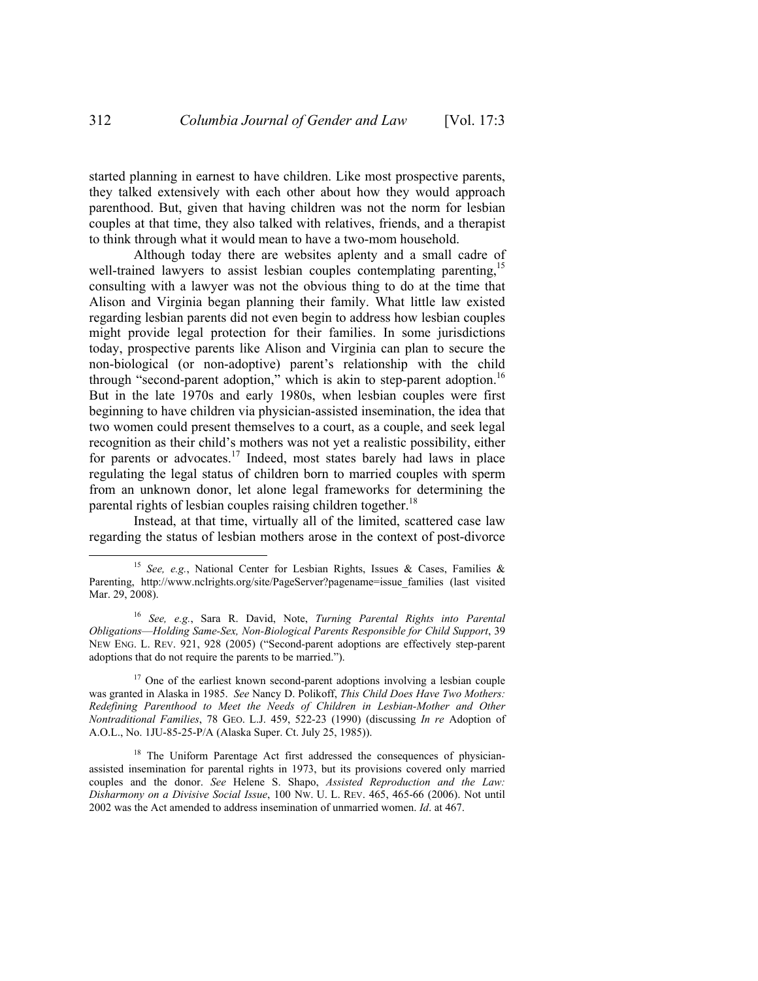started planning in earnest to have children. Like most prospective parents, they talked extensively with each other about how they would approach parenthood. But, given that having children was not the norm for lesbian couples at that time, they also talked with relatives, friends, and a therapist to think through what it would mean to have a two-mom household.

Although today there are websites aplenty and a small cadre of well-trained lawyers to assist lesbian couples contemplating parenting,<sup>15</sup> consulting with a lawyer was not the obvious thing to do at the time that Alison and Virginia began planning their family. What little law existed regarding lesbian parents did not even begin to address how lesbian couples might provide legal protection for their families. In some jurisdictions today, prospective parents like Alison and Virginia can plan to secure the non-biological (or non-adoptive) parent's relationship with the child through "second-parent adoption," which is akin to step-parent adoption.<sup>16</sup> But in the late 1970s and early 1980s, when lesbian couples were first beginning to have children via physician-assisted insemination, the idea that two women could present themselves to a court, as a couple, and seek legal recognition as their child's mothers was not yet a realistic possibility, either for parents or advocates.<sup>17</sup> Indeed, most states barely had laws in place regulating the legal status of children born to married couples with sperm from an unknown donor, let alone legal frameworks for determining the parental rights of lesbian couples raising children together.<sup>18</sup>

Instead, at that time, virtually all of the limited, scattered case law regarding the status of lesbian mothers arose in the context of post-divorce

 <sup>15</sup> *See, e.g.*, National Center for Lesbian Rights, Issues & Cases, Families & Parenting, http://www.nclrights.org/site/PageServer?pagename=issue families (last visited Mar. 29, 2008).

<sup>16</sup> *See, e.g.*, Sara R. David, Note, *Turning Parental Rights into Parental Obligations*—*Holding Same-Sex, Non-Biological Parents Responsible for Child Support*, 39 NEW ENG. L. REV. 921, 928 (2005) ("Second-parent adoptions are effectively step-parent adoptions that do not require the parents to be married.").

<sup>&</sup>lt;sup>17</sup> One of the earliest known second-parent adoptions involving a lesbian couple was granted in Alaska in 1985. *See* Nancy D. Polikoff, *This Child Does Have Two Mothers: Redefining Parenthood to Meet the Needs of Children in Lesbian-Mother and Other Nontraditional Families*, 78 GEO. L.J. 459, 522-23 (1990) (discussing *In re* Adoption of A.O.L., No. 1JU-85-25-P/A (Alaska Super. Ct. July 25, 1985)).

<sup>&</sup>lt;sup>18</sup> The Uniform Parentage Act first addressed the consequences of physicianassisted insemination for parental rights in 1973, but its provisions covered only married couples and the donor. *See* Helene S. Shapo, *Assisted Reproduction and the Law: Disharmony on a Divisive Social Issue*, 100 NW. U. L. REV. 465, 465-66 (2006). Not until 2002 was the Act amended to address insemination of unmarried women. *Id*. at 467.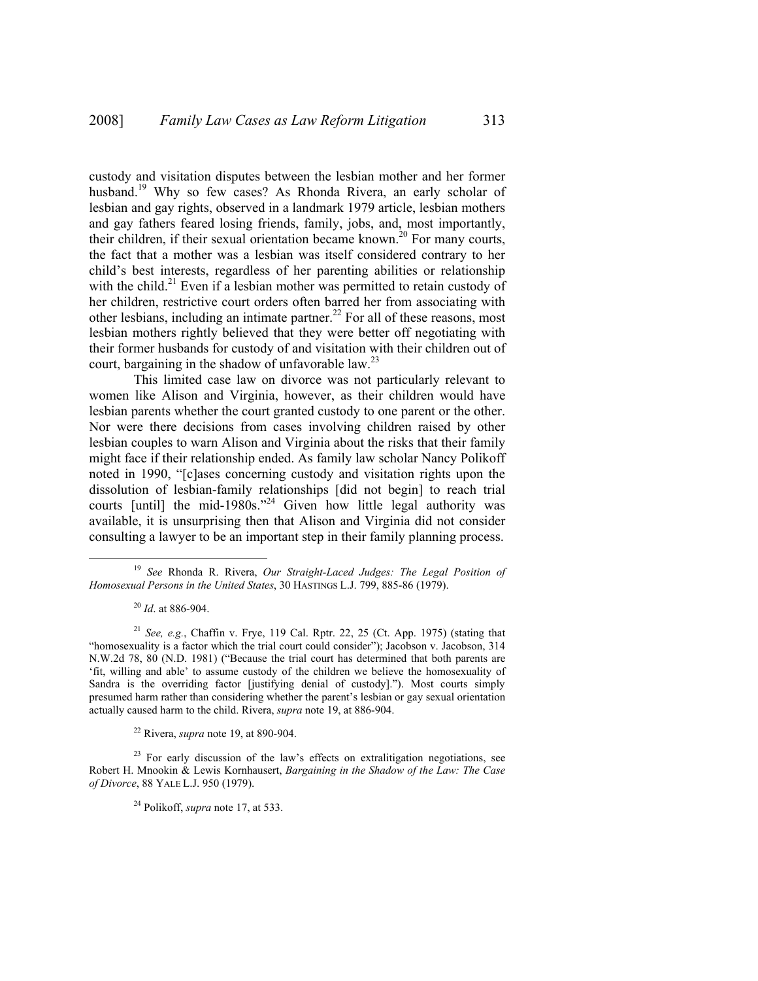custody and visitation disputes between the lesbian mother and her former husband.<sup>19</sup> Why so few cases? As Rhonda Rivera, an early scholar of lesbian and gay rights, observed in a landmark 1979 article, lesbian mothers and gay fathers feared losing friends, family, jobs, and, most importantly, their children, if their sexual orientation became known.<sup>20</sup> For many courts, the fact that a mother was a lesbian was itself considered contrary to her child's best interests, regardless of her parenting abilities or relationship with the child.<sup>21</sup> Even if a lesbian mother was permitted to retain custody of her children, restrictive court orders often barred her from associating with other lesbians, including an intimate partner.<sup>22</sup> For all of these reasons, most lesbian mothers rightly believed that they were better off negotiating with their former husbands for custody of and visitation with their children out of court, bargaining in the shadow of unfavorable law.<sup>23</sup>

This limited case law on divorce was not particularly relevant to women like Alison and Virginia, however, as their children would have lesbian parents whether the court granted custody to one parent or the other. Nor were there decisions from cases involving children raised by other lesbian couples to warn Alison and Virginia about the risks that their family might face if their relationship ended. As family law scholar Nancy Polikoff noted in 1990, "[c]ases concerning custody and visitation rights upon the dissolution of lesbian-family relationships [did not begin] to reach trial courts [until] the mid-1980s.<sup> $224$ </sup> Given how little legal authority was available, it is unsurprising then that Alison and Virginia did not consider consulting a lawyer to be an important step in their family planning process.

22 Rivera, *supra* note 19, at 890-904.

 $23$  For early discussion of the law's effects on extralitigation negotiations, see Robert H. Mnookin & Lewis Kornhausert, *Bargaining in the Shadow of the Law: The Case of Divorce*, 88 YALE L.J. 950 (1979).

24 Polikoff, *supra* note 17, at 533.

 <sup>19</sup> *See* Rhonda R. Rivera, *Our Straight-Laced Judges: The Legal Position of Homosexual Persons in the United States*, 30 HASTINGS L.J. 799, 885-86 (1979).

<sup>20</sup> *Id*. at 886-904.

<sup>&</sup>lt;sup>21</sup> See, e.g., Chaffin v. Frye, 119 Cal. Rptr. 22, 25 (Ct. App. 1975) (stating that "homosexuality is a factor which the trial court could consider"); Jacobson v. Jacobson, 314 N.W.2d 78, 80 (N.D. 1981) ("Because the trial court has determined that both parents are 'fit, willing and able' to assume custody of the children we believe the homosexuality of Sandra is the overriding factor [justifying denial of custody]."). Most courts simply presumed harm rather than considering whether the parent's lesbian or gay sexual orientation actually caused harm to the child. Rivera, *supra* note 19, at 886-904.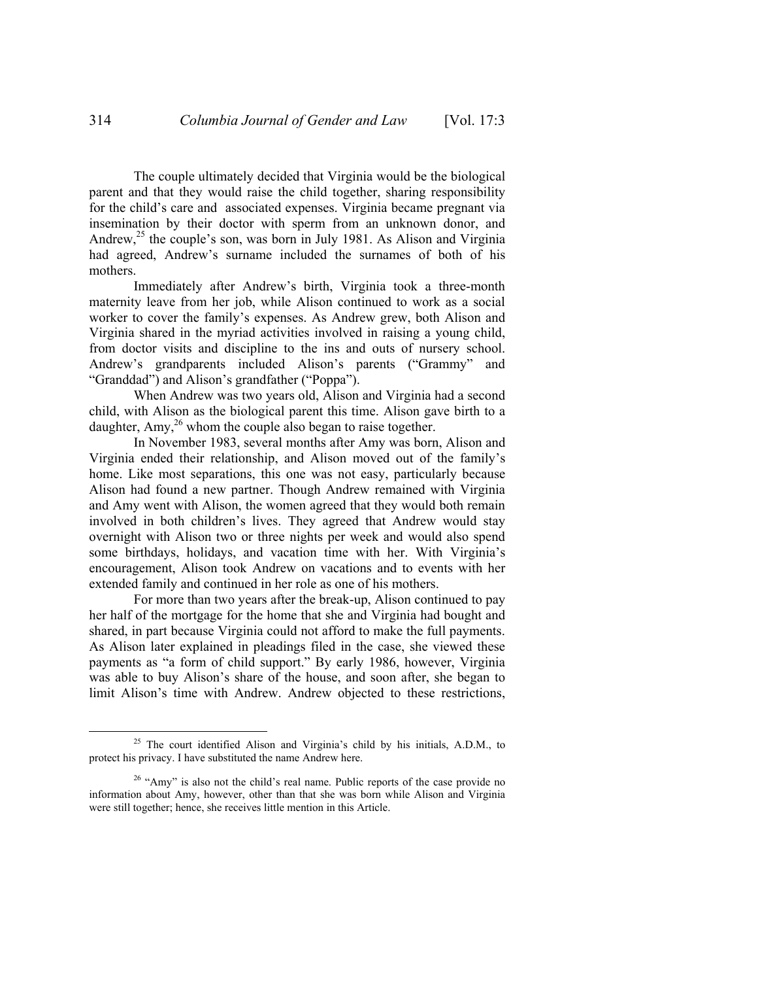The couple ultimately decided that Virginia would be the biological parent and that they would raise the child together, sharing responsibility for the child's care and associated expenses. Virginia became pregnant via insemination by their doctor with sperm from an unknown donor, and Andrew, $^{25}$  the couple's son, was born in July 1981. As Alison and Virginia had agreed, Andrew's surname included the surnames of both of his mothers.

Immediately after Andrew's birth, Virginia took a three-month maternity leave from her job, while Alison continued to work as a social worker to cover the family's expenses. As Andrew grew, both Alison and Virginia shared in the myriad activities involved in raising a young child, from doctor visits and discipline to the ins and outs of nursery school. Andrew's grandparents included Alison's parents ("Grammy" and "Granddad") and Alison's grandfather ("Poppa").

When Andrew was two years old, Alison and Virginia had a second child, with Alison as the biological parent this time. Alison gave birth to a daughter,  $Amy<sub>1</sub><sup>26</sup>$  whom the couple also began to raise together.

In November 1983, several months after Amy was born, Alison and Virginia ended their relationship, and Alison moved out of the family's home. Like most separations, this one was not easy, particularly because Alison had found a new partner. Though Andrew remained with Virginia and Amy went with Alison, the women agreed that they would both remain involved in both children's lives. They agreed that Andrew would stay overnight with Alison two or three nights per week and would also spend some birthdays, holidays, and vacation time with her. With Virginia's encouragement, Alison took Andrew on vacations and to events with her extended family and continued in her role as one of his mothers.

For more than two years after the break-up, Alison continued to pay her half of the mortgage for the home that she and Virginia had bought and shared, in part because Virginia could not afford to make the full payments. As Alison later explained in pleadings filed in the case, she viewed these payments as "a form of child support." By early 1986, however, Virginia was able to buy Alison's share of the house, and soon after, she began to limit Alison's time with Andrew. Andrew objected to these restrictions,

<sup>&</sup>lt;sup>25</sup> The court identified Alison and Virginia's child by his initials, A.D.M., to protect his privacy. I have substituted the name Andrew here.

<sup>&</sup>lt;sup>26</sup> "Amy" is also not the child's real name. Public reports of the case provide no information about Amy, however, other than that she was born while Alison and Virginia were still together; hence, she receives little mention in this Article.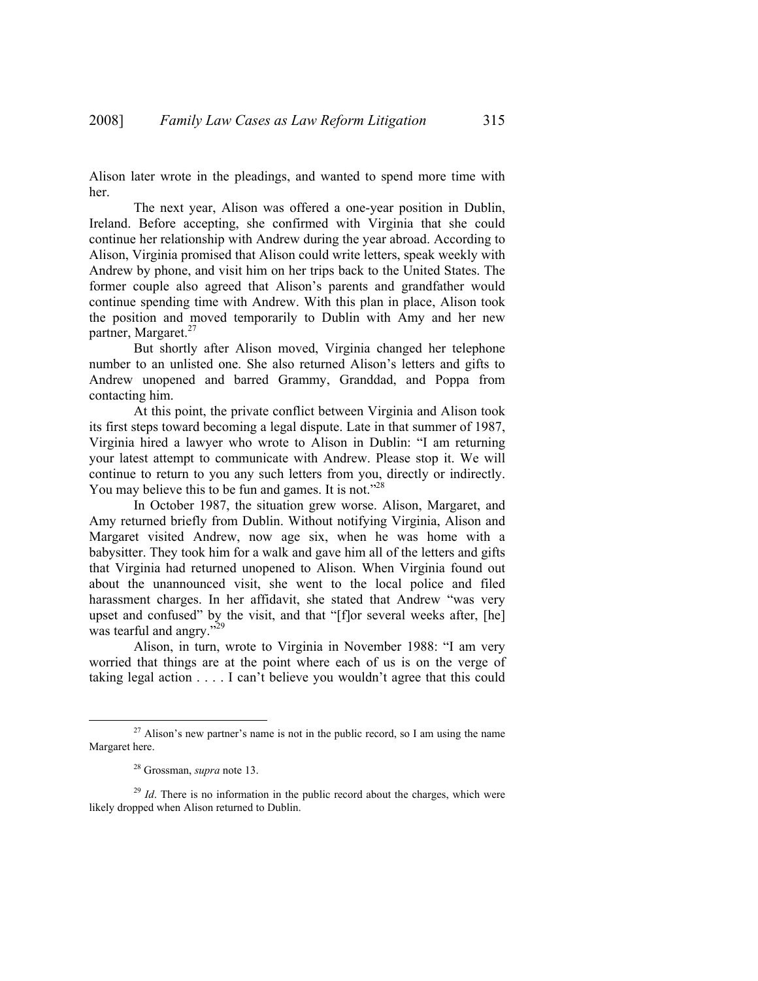Alison later wrote in the pleadings, and wanted to spend more time with her.

The next year, Alison was offered a one-year position in Dublin, Ireland. Before accepting, she confirmed with Virginia that she could continue her relationship with Andrew during the year abroad. According to Alison, Virginia promised that Alison could write letters, speak weekly with Andrew by phone, and visit him on her trips back to the United States. The former couple also agreed that Alison's parents and grandfather would continue spending time with Andrew. With this plan in place, Alison took the position and moved temporarily to Dublin with Amy and her new partner, Margaret.<sup>27</sup>

But shortly after Alison moved, Virginia changed her telephone number to an unlisted one. She also returned Alison's letters and gifts to Andrew unopened and barred Grammy, Granddad, and Poppa from contacting him.

At this point, the private conflict between Virginia and Alison took its first steps toward becoming a legal dispute. Late in that summer of 1987, Virginia hired a lawyer who wrote to Alison in Dublin: "I am returning your latest attempt to communicate with Andrew. Please stop it. We will continue to return to you any such letters from you, directly or indirectly. You may believe this to be fun and games. It is not."<sup>28</sup>

In October 1987, the situation grew worse. Alison, Margaret, and Amy returned briefly from Dublin. Without notifying Virginia, Alison and Margaret visited Andrew, now age six, when he was home with a babysitter. They took him for a walk and gave him all of the letters and gifts that Virginia had returned unopened to Alison. When Virginia found out about the unannounced visit, she went to the local police and filed harassment charges. In her affidavit, she stated that Andrew "was very upset and confused" by the visit, and that "[f]or several weeks after, [he] was tearful and angry."<sup>29</sup>

Alison, in turn, wrote to Virginia in November 1988: "I am very worried that things are at the point where each of us is on the verge of taking legal action . . . . I can't believe you wouldn't agree that this could

 $27$  Alison's new partner's name is not in the public record, so I am using the name Margaret here.

<sup>28</sup> Grossman, *supra* note 13.

 $29$  *Id*. There is no information in the public record about the charges, which were likely dropped when Alison returned to Dublin.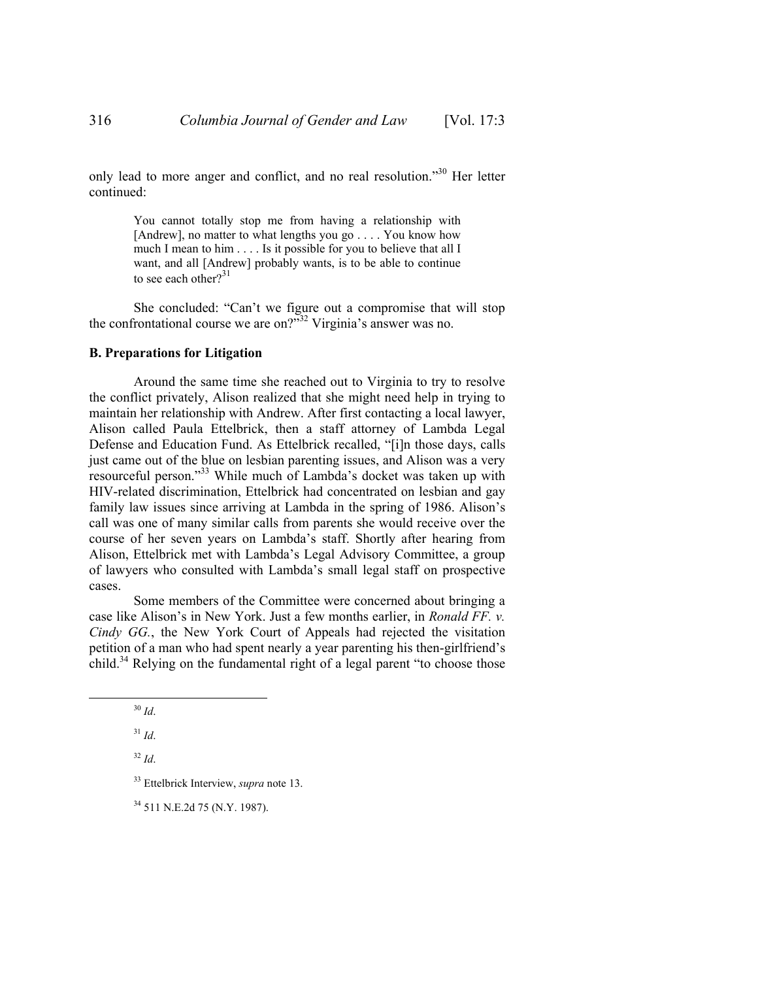only lead to more anger and conflict, and no real resolution."30 Her letter continued:

> You cannot totally stop me from having a relationship with [Andrew], no matter to what lengths you go . . . . You know how much I mean to him . . . . Is it possible for you to believe that all I want, and all [Andrew] probably wants, is to be able to continue to see each other? $31$

She concluded: "Can't we figure out a compromise that will stop the confrontational course we are on? $\frac{32}{12}$  Virginia's answer was no.

#### **B. Preparations for Litigation**

Around the same time she reached out to Virginia to try to resolve the conflict privately, Alison realized that she might need help in trying to maintain her relationship with Andrew. After first contacting a local lawyer, Alison called Paula Ettelbrick, then a staff attorney of Lambda Legal Defense and Education Fund. As Ettelbrick recalled, "[i]n those days, calls just came out of the blue on lesbian parenting issues, and Alison was a very resourceful person."33 While much of Lambda's docket was taken up with HIV-related discrimination, Ettelbrick had concentrated on lesbian and gay family law issues since arriving at Lambda in the spring of 1986. Alison's call was one of many similar calls from parents she would receive over the course of her seven years on Lambda's staff. Shortly after hearing from Alison, Ettelbrick met with Lambda's Legal Advisory Committee, a group of lawyers who consulted with Lambda's small legal staff on prospective cases.

Some members of the Committee were concerned about bringing a case like Alison's in New York. Just a few months earlier, in *Ronald FF. v. Cindy GG.*, the New York Court of Appeals had rejected the visitation petition of a man who had spent nearly a year parenting his then-girlfriend's child.<sup>34</sup> Relying on the fundamental right of a legal parent "to choose those

33 Ettelbrick Interview, *supra* note 13.

34 511 N.E.2d 75 (N.Y. 1987).

 <sup>30</sup> *Id*.

<sup>31</sup> *Id*.

<sup>32</sup> *Id*.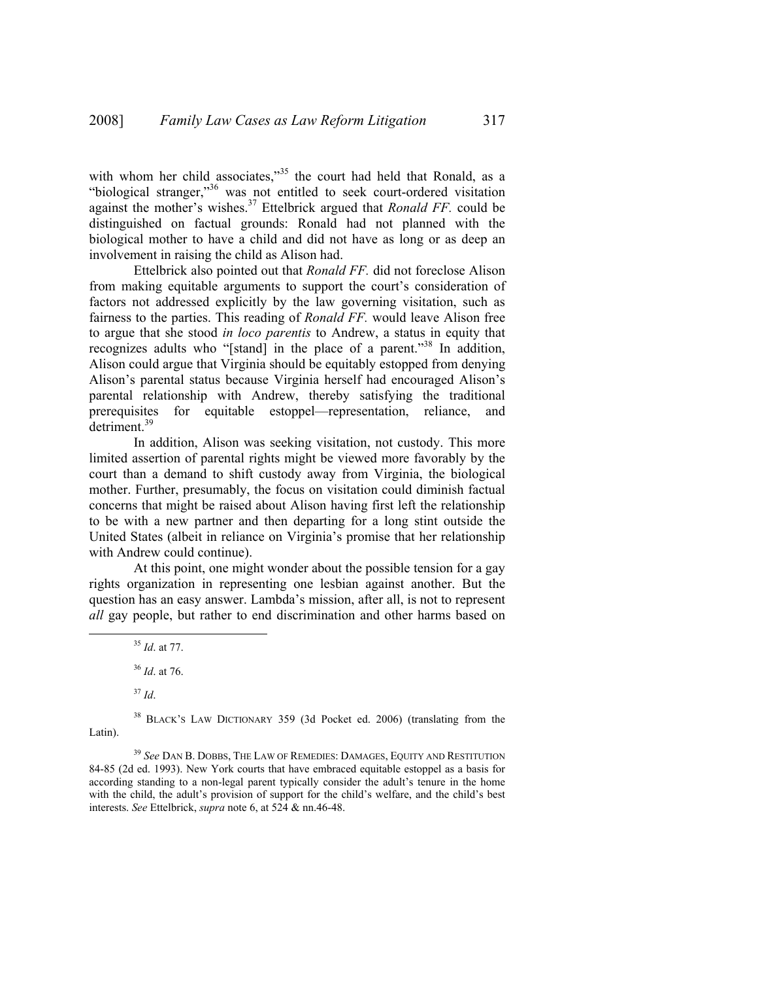with whom her child associates,"<sup>35</sup> the court had held that Ronald, as a "biological stranger,"<sup>36</sup> was not entitled to seek court-ordered visitation against the mother's wishes.37 Ettelbrick argued that *Ronald FF.* could be distinguished on factual grounds: Ronald had not planned with the biological mother to have a child and did not have as long or as deep an involvement in raising the child as Alison had.

Ettelbrick also pointed out that *Ronald FF.* did not foreclose Alison from making equitable arguments to support the court's consideration of factors not addressed explicitly by the law governing visitation, such as fairness to the parties. This reading of *Ronald FF.* would leave Alison free to argue that she stood *in loco parentis* to Andrew, a status in equity that recognizes adults who "[stand] in the place of a parent."38 In addition, Alison could argue that Virginia should be equitably estopped from denying Alison's parental status because Virginia herself had encouraged Alison's parental relationship with Andrew, thereby satisfying the traditional prerequisites for equitable estoppel—representation, reliance, and detriment.39

In addition, Alison was seeking visitation, not custody. This more limited assertion of parental rights might be viewed more favorably by the court than a demand to shift custody away from Virginia, the biological mother. Further, presumably, the focus on visitation could diminish factual concerns that might be raised about Alison having first left the relationship to be with a new partner and then departing for a long stint outside the United States (albeit in reliance on Virginia's promise that her relationship with Andrew could continue).

At this point, one might wonder about the possible tension for a gay rights organization in representing one lesbian against another. But the question has an easy answer. Lambda's mission, after all, is not to represent *all* gay people, but rather to end discrimination and other harms based on

<sup>37</sup> *Id*.

<sup>38</sup> BLACK'S LAW DICTIONARY 359 (3d Pocket ed. 2006) (translating from the Latin).

<sup>39</sup> *See* DAN B. DOBBS, THE LAW OF REMEDIES: DAMAGES, EQUITY AND RESTITUTION 84-85 (2d ed. 1993). New York courts that have embraced equitable estoppel as a basis for according standing to a non-legal parent typically consider the adult's tenure in the home with the child, the adult's provision of support for the child's welfare, and the child's best interests. *See* Ettelbrick, *supra* note 6, at 524 & nn.46-48.

 <sup>35</sup> *Id*. at 77.

<sup>36</sup> *Id*. at 76.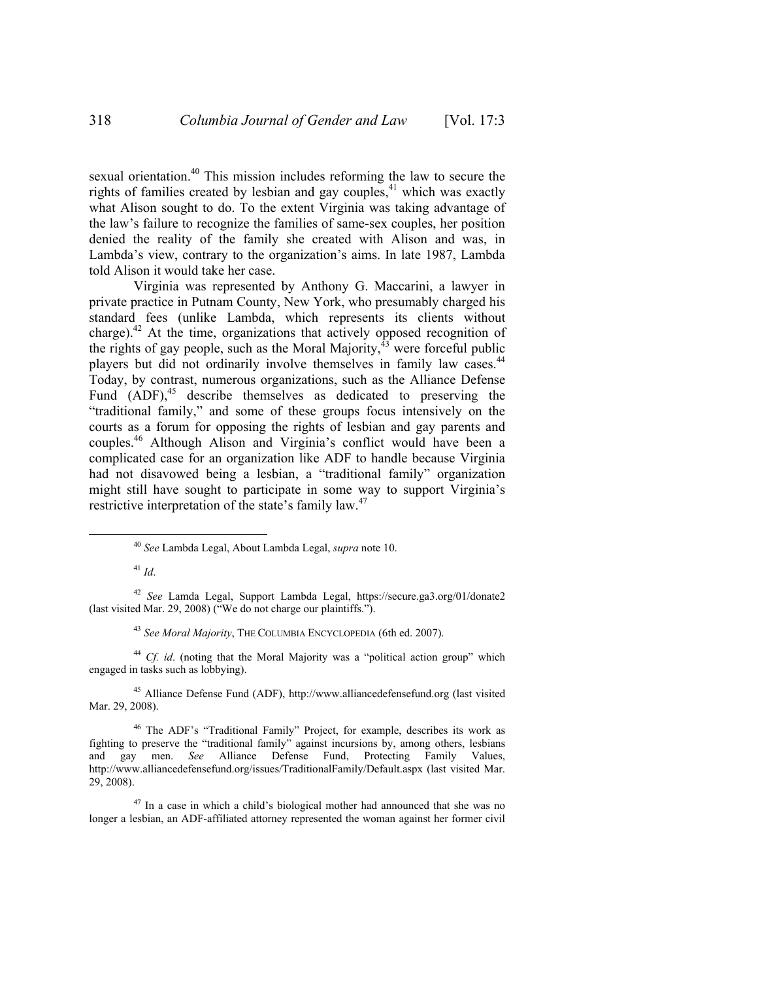sexual orientation.<sup>40</sup> This mission includes reforming the law to secure the rights of families created by lesbian and gay couples, $41$  which was exactly what Alison sought to do. To the extent Virginia was taking advantage of the law's failure to recognize the families of same-sex couples, her position denied the reality of the family she created with Alison and was, in Lambda's view, contrary to the organization's aims. In late 1987, Lambda told Alison it would take her case.

Virginia was represented by Anthony G. Maccarini, a lawyer in private practice in Putnam County, New York, who presumably charged his standard fees (unlike Lambda, which represents its clients without charge). $42$  At the time, organizations that actively opposed recognition of the rights of gay people, such as the Moral Majority, $^{43}$  were forceful public players but did not ordinarily involve themselves in family law cases.<sup>44</sup> Today, by contrast, numerous organizations, such as the Alliance Defense Fund  $(ADF)$ ,<sup>45</sup> describe themselves as dedicated to preserving the "traditional family," and some of these groups focus intensively on the courts as a forum for opposing the rights of lesbian and gay parents and couples.46 Although Alison and Virginia's conflict would have been a complicated case for an organization like ADF to handle because Virginia had not disavowed being a lesbian, a "traditional family" organization might still have sought to participate in some way to support Virginia's restrictive interpretation of the state's family law.<sup>47</sup>

<sup>43</sup> *See Moral Majority*, THE COLUMBIA ENCYCLOPEDIA (6th ed. 2007).

<sup>44</sup> *Cf. id*. (noting that the Moral Majority was a "political action group" which engaged in tasks such as lobbying).

45 Alliance Defense Fund (ADF), http://www.alliancedefensefund.org (last visited Mar. 29, 2008).

46 The ADF's "Traditional Family" Project, for example, describes its work as fighting to preserve the "traditional family" against incursions by, among others, lesbians and gay men. *See* Alliance Defense Fund, Protecting Family Values, http://www.alliancedefensefund.org/issues/TraditionalFamily/Default.aspx (last visited Mar. 29, 2008).

 $47$  In a case in which a child's biological mother had announced that she was no longer a lesbian, an ADF-affiliated attorney represented the woman against her former civil

 <sup>40</sup> *See* Lambda Legal, About Lambda Legal, *supra* note 10.

<sup>41</sup> *Id*.

<sup>42</sup> *See* Lamda Legal, Support Lambda Legal, https://secure.ga3.org/01/donate2 (last visited Mar. 29, 2008) ("We do not charge our plaintiffs.").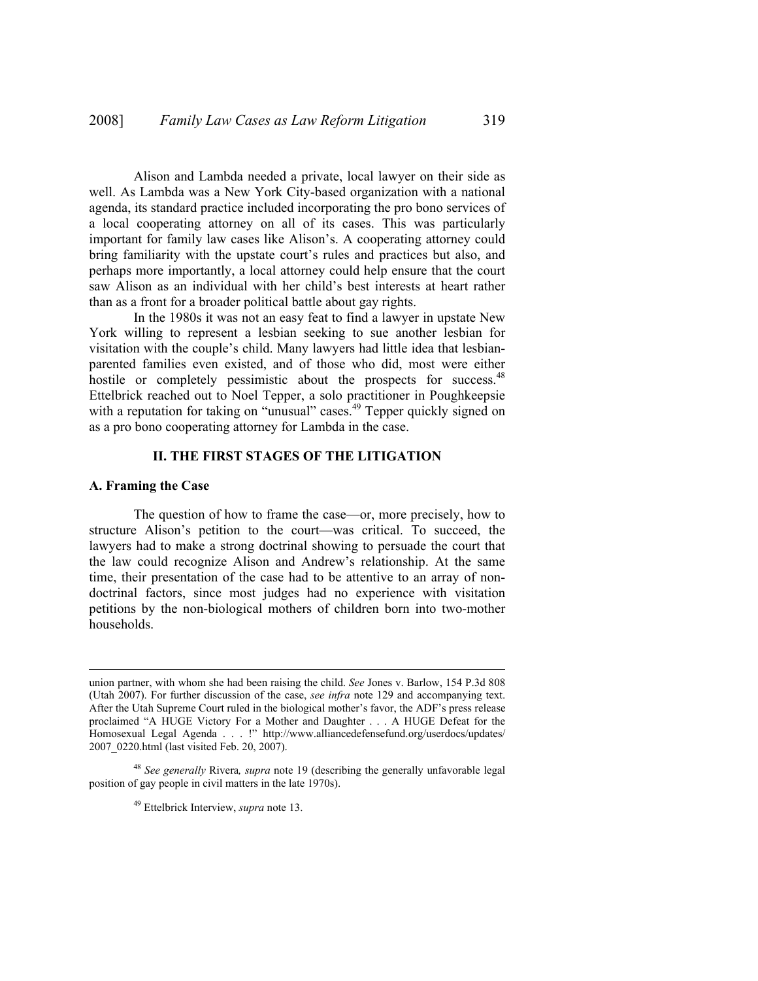Alison and Lambda needed a private, local lawyer on their side as well. As Lambda was a New York City-based organization with a national agenda, its standard practice included incorporating the pro bono services of a local cooperating attorney on all of its cases. This was particularly important for family law cases like Alison's. A cooperating attorney could bring familiarity with the upstate court's rules and practices but also, and perhaps more importantly, a local attorney could help ensure that the court saw Alison as an individual with her child's best interests at heart rather than as a front for a broader political battle about gay rights.

In the 1980s it was not an easy feat to find a lawyer in upstate New York willing to represent a lesbian seeking to sue another lesbian for visitation with the couple's child. Many lawyers had little idea that lesbianparented families even existed, and of those who did, most were either hostile or completely pessimistic about the prospects for success.<sup>48</sup> Ettelbrick reached out to Noel Tepper, a solo practitioner in Poughkeepsie with a reputation for taking on "unusual" cases.<sup>49</sup> Tepper quickly signed on as a pro bono cooperating attorney for Lambda in the case.

## **II. THE FIRST STAGES OF THE LITIGATION**

#### **A. Framing the Case**

 $\overline{a}$ 

The question of how to frame the case—or, more precisely, how to structure Alison's petition to the court—was critical. To succeed, the lawyers had to make a strong doctrinal showing to persuade the court that the law could recognize Alison and Andrew's relationship. At the same time, their presentation of the case had to be attentive to an array of nondoctrinal factors, since most judges had no experience with visitation petitions by the non-biological mothers of children born into two-mother households.

union partner, with whom she had been raising the child. *See* Jones v. Barlow, 154 P.3d 808 (Utah 2007). For further discussion of the case, *see infra* note 129 and accompanying text. After the Utah Supreme Court ruled in the biological mother's favor, the ADF's press release proclaimed "A HUGE Victory For a Mother and Daughter . . . A HUGE Defeat for the Homosexual Legal Agenda . . . !" http://www.alliancedefensefund.org/userdocs/updates/ 2007\_0220.html (last visited Feb. 20, 2007).

<sup>48</sup> *See generally* Rivera*, supra* note 19 (describing the generally unfavorable legal position of gay people in civil matters in the late 1970s).

<sup>49</sup> Ettelbrick Interview, *supra* note 13.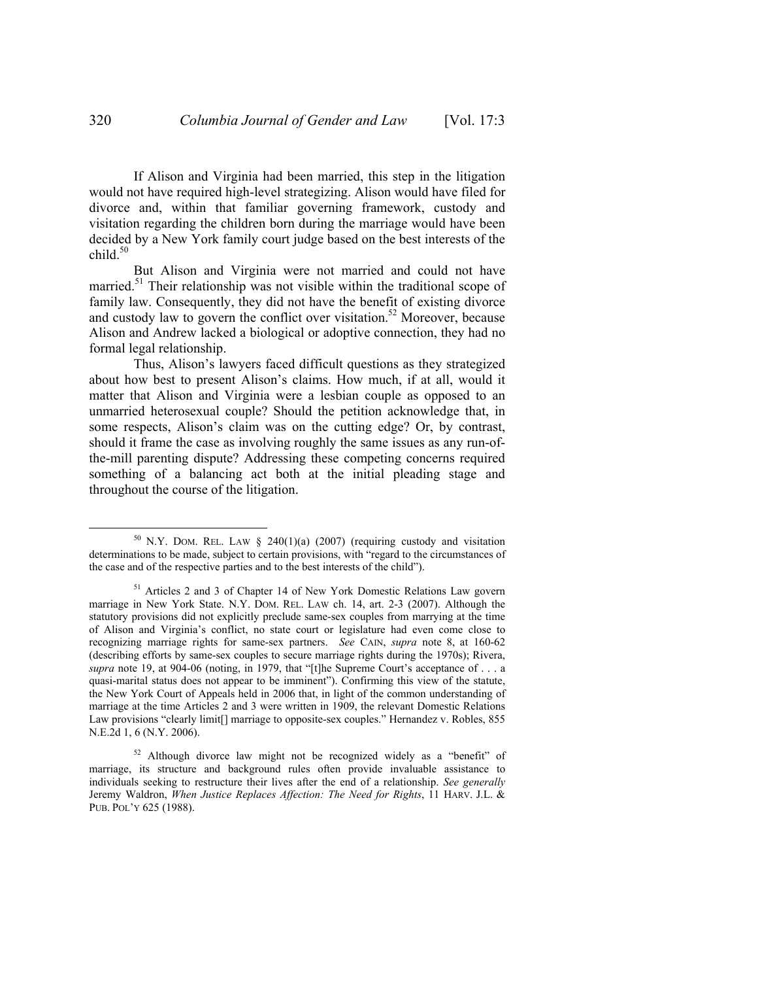If Alison and Virginia had been married, this step in the litigation would not have required high-level strategizing. Alison would have filed for divorce and, within that familiar governing framework, custody and visitation regarding the children born during the marriage would have been decided by a New York family court judge based on the best interests of the child $50$ 

But Alison and Virginia were not married and could not have married.<sup>51</sup> Their relationship was not visible within the traditional scope of family law. Consequently, they did not have the benefit of existing divorce and custody law to govern the conflict over visitation.<sup>52</sup> Moreover, because Alison and Andrew lacked a biological or adoptive connection, they had no formal legal relationship.

Thus, Alison's lawyers faced difficult questions as they strategized about how best to present Alison's claims. How much, if at all, would it matter that Alison and Virginia were a lesbian couple as opposed to an unmarried heterosexual couple? Should the petition acknowledge that, in some respects, Alison's claim was on the cutting edge? Or, by contrast, should it frame the case as involving roughly the same issues as any run-ofthe-mill parenting dispute? Addressing these competing concerns required something of a balancing act both at the initial pleading stage and throughout the course of the litigation.

 $50$  N.Y. DOM. REL. LAW § 240(1)(a) (2007) (requiring custody and visitation determinations to be made, subject to certain provisions, with "regard to the circumstances of the case and of the respective parties and to the best interests of the child").

<sup>&</sup>lt;sup>51</sup> Articles 2 and 3 of Chapter 14 of New York Domestic Relations Law govern marriage in New York State. N.Y. DOM. REL. LAW ch. 14, art. 2-3 (2007). Although the statutory provisions did not explicitly preclude same-sex couples from marrying at the time of Alison and Virginia's conflict, no state court or legislature had even come close to recognizing marriage rights for same-sex partners. *See* CAIN, *supra* note 8, at 160-62 (describing efforts by same-sex couples to secure marriage rights during the 1970s); Rivera, *supra* note 19, at 904-06 (noting, in 1979, that "[t]he Supreme Court's acceptance of . . . a quasi-marital status does not appear to be imminent"). Confirming this view of the statute, the New York Court of Appeals held in 2006 that, in light of the common understanding of marriage at the time Articles 2 and 3 were written in 1909, the relevant Domestic Relations Law provisions "clearly limit[] marriage to opposite-sex couples." Hernandez v. Robles, 855 N.E.2d 1, 6 (N.Y. 2006).

<sup>52</sup> Although divorce law might not be recognized widely as a "benefit" of marriage, its structure and background rules often provide invaluable assistance to individuals seeking to restructure their lives after the end of a relationship. *See generally*  Jeremy Waldron, *When Justice Replaces Affection: The Need for Rights*, 11 HARV. J.L. & PUB. POL'Y 625 (1988).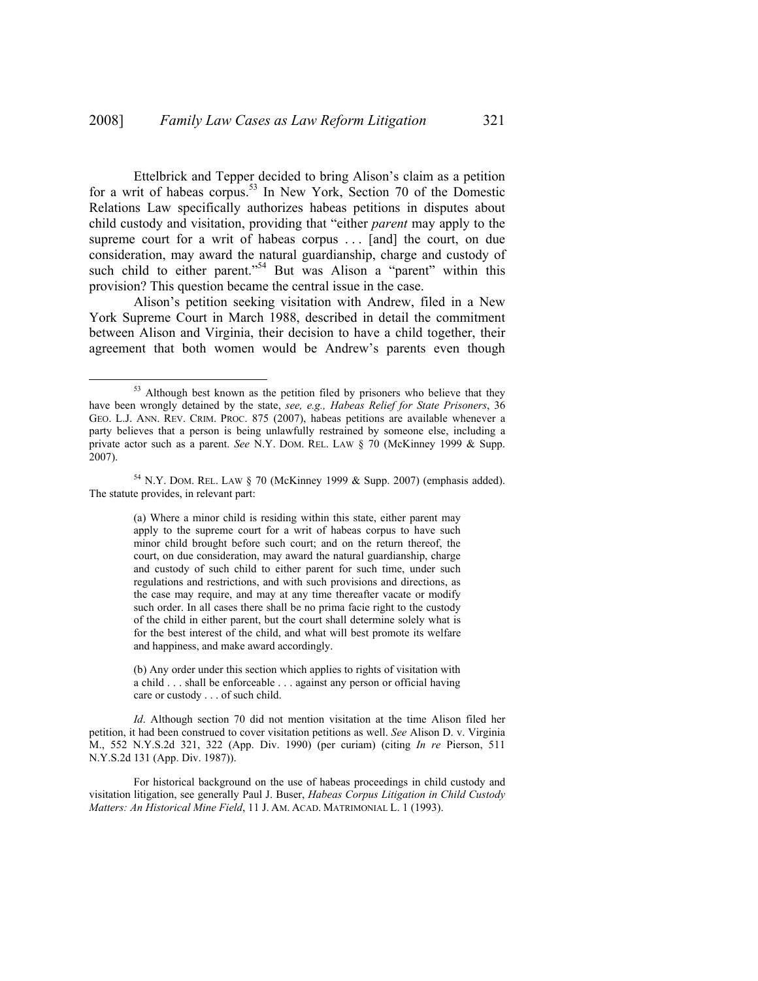Ettelbrick and Tepper decided to bring Alison's claim as a petition for a writ of habeas corpus.<sup>53</sup> In New York, Section 70 of the Domestic Relations Law specifically authorizes habeas petitions in disputes about child custody and visitation, providing that "either *parent* may apply to the supreme court for a writ of habeas corpus ... [and] the court, on due consideration, may award the natural guardianship, charge and custody of such child to either parent."<sup>54</sup> But was Alison a "parent" within this provision? This question became the central issue in the case.

Alison's petition seeking visitation with Andrew, filed in a New York Supreme Court in March 1988, described in detail the commitment between Alison and Virginia, their decision to have a child together, their agreement that both women would be Andrew's parents even though

(a) Where a minor child is residing within this state, either parent may apply to the supreme court for a writ of habeas corpus to have such minor child brought before such court; and on the return thereof, the court, on due consideration, may award the natural guardianship, charge and custody of such child to either parent for such time, under such regulations and restrictions, and with such provisions and directions, as the case may require, and may at any time thereafter vacate or modify such order. In all cases there shall be no prima facie right to the custody of the child in either parent, but the court shall determine solely what is for the best interest of the child, and what will best promote its welfare and happiness, and make award accordingly.

<sup>&</sup>lt;sup>53</sup> Although best known as the petition filed by prisoners who believe that they have been wrongly detained by the state, *see, e.g., Habeas Relief for State Prisoners*, 36 GEO. L.J. ANN. REV. CRIM. PROC. 875 (2007), habeas petitions are available whenever a party believes that a person is being unlawfully restrained by someone else, including a private actor such as a parent. *See* N.Y. DOM. REL. LAW § 70 (McKinney 1999 & Supp. 2007).

 $54$  N.Y. DOM. REL. LAW § 70 (McKinney 1999 & Supp. 2007) (emphasis added). The statute provides, in relevant part:

<sup>(</sup>b) Any order under this section which applies to rights of visitation with a child . . . shall be enforceable . . . against any person or official having care or custody . . . of such child.

*Id*. Although section 70 did not mention visitation at the time Alison filed her petition, it had been construed to cover visitation petitions as well. *See* Alison D. v. Virginia M., 552 N.Y.S.2d 321, 322 (App. Div. 1990) (per curiam) (citing *In re* Pierson, 511 N.Y.S.2d 131 (App. Div. 1987)).

For historical background on the use of habeas proceedings in child custody and visitation litigation, see generally Paul J. Buser, *Habeas Corpus Litigation in Child Custody Matters: An Historical Mine Field*, 11 J. AM. ACAD. MATRIMONIAL L. 1 (1993).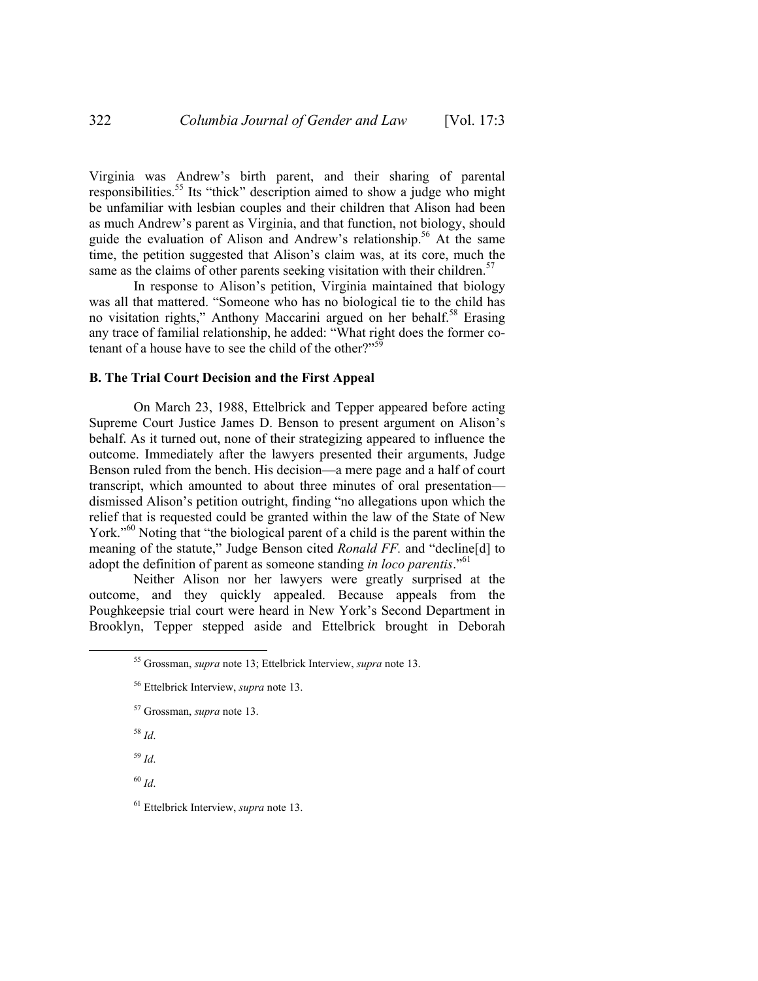Virginia was Andrew's birth parent, and their sharing of parental responsibilities.<sup>55</sup> Its "thick" description aimed to show a judge who might be unfamiliar with lesbian couples and their children that Alison had been as much Andrew's parent as Virginia, and that function, not biology, should guide the evaluation of Alison and Andrew's relationship.<sup>56</sup> At the same time, the petition suggested that Alison's claim was, at its core, much the same as the claims of other parents seeking visitation with their children.<sup>57</sup>

In response to Alison's petition, Virginia maintained that biology was all that mattered. "Someone who has no biological tie to the child has no visitation rights," Anthony Maccarini argued on her behalf.<sup>58</sup> Erasing any trace of familial relationship, he added: "What right does the former cotenant of a house have to see the child of the other?"<sup>59</sup>

#### **B. The Trial Court Decision and the First Appeal**

On March 23, 1988, Ettelbrick and Tepper appeared before acting Supreme Court Justice James D. Benson to present argument on Alison's behalf. As it turned out, none of their strategizing appeared to influence the outcome. Immediately after the lawyers presented their arguments, Judge Benson ruled from the bench. His decision—a mere page and a half of court transcript, which amounted to about three minutes of oral presentation dismissed Alison's petition outright, finding "no allegations upon which the relief that is requested could be granted within the law of the State of New York.<sup>"60</sup> Noting that "the biological parent of a child is the parent within the meaning of the statute," Judge Benson cited *Ronald FF.* and "decline[d] to adopt the definition of parent as someone standing *in loco parentis*."61

Neither Alison nor her lawyers were greatly surprised at the outcome, and they quickly appealed. Because appeals from the Poughkeepsie trial court were heard in New York's Second Department in Brooklyn, Tepper stepped aside and Ettelbrick brought in Deborah

<sup>58</sup> *Id*.

<sup>59</sup> *Id*.

<sup>60</sup> *Id*.

61 Ettelbrick Interview, *supra* note 13.

 <sup>55</sup> Grossman, *supra* note 13; Ettelbrick Interview, *supra* note 13.

<sup>56</sup> Ettelbrick Interview, *supra* note 13.

<sup>57</sup> Grossman, *supra* note 13.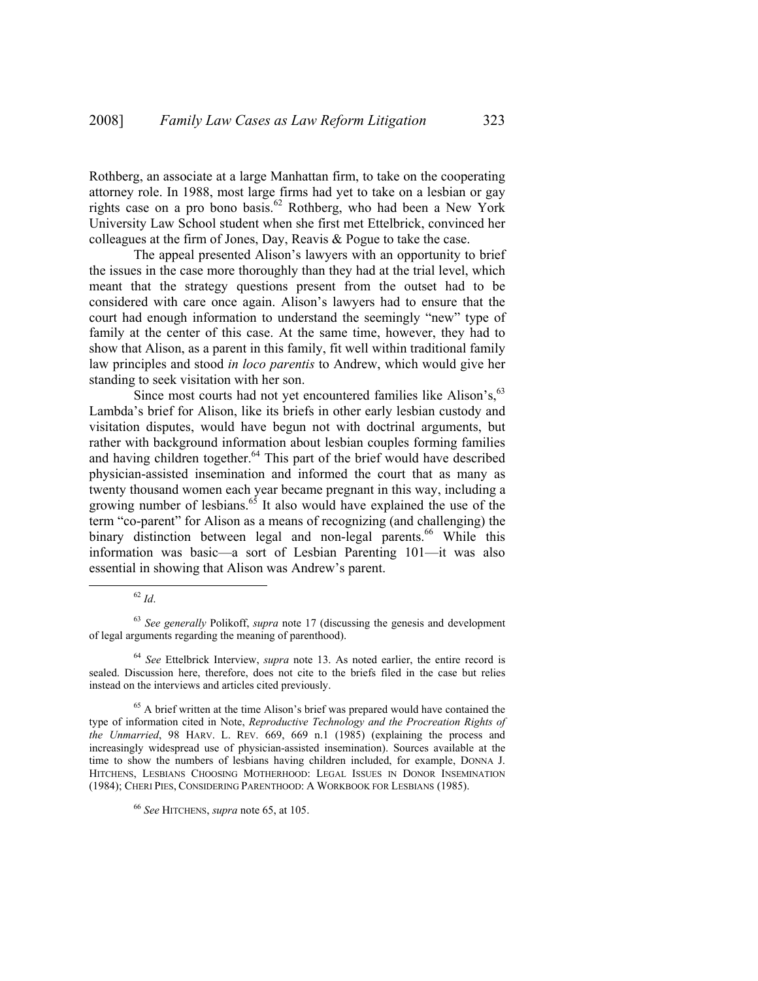Rothberg, an associate at a large Manhattan firm, to take on the cooperating attorney role. In 1988, most large firms had yet to take on a lesbian or gay rights case on a pro bono basis.<sup>62</sup> Rothberg, who had been a New York University Law School student when she first met Ettelbrick, convinced her colleagues at the firm of Jones, Day, Reavis & Pogue to take the case.

The appeal presented Alison's lawyers with an opportunity to brief the issues in the case more thoroughly than they had at the trial level, which meant that the strategy questions present from the outset had to be considered with care once again. Alison's lawyers had to ensure that the court had enough information to understand the seemingly "new" type of family at the center of this case. At the same time, however, they had to show that Alison, as a parent in this family, fit well within traditional family law principles and stood *in loco parentis* to Andrew, which would give her standing to seek visitation with her son.

Since most courts had not yet encountered families like Alison's, <sup>63</sup> Lambda's brief for Alison, like its briefs in other early lesbian custody and visitation disputes, would have begun not with doctrinal arguments, but rather with background information about lesbian couples forming families and having children together.<sup>64</sup> This part of the brief would have described physician-assisted insemination and informed the court that as many as twenty thousand women each year became pregnant in this way, including a growing number of lesbians.<sup>65</sup> It also would have explained the use of the term "co-parent" for Alison as a means of recognizing (and challenging) the binary distinction between legal and non-legal parents.<sup>66</sup> While this information was basic—a sort of Lesbian Parenting 101—it was also essential in showing that Alison was Andrew's parent.

 <sup>62</sup> *Id*.

<sup>63</sup> *See generally* Polikoff, *supra* note 17 (discussing the genesis and development of legal arguments regarding the meaning of parenthood).

<sup>64</sup> *See* Ettelbrick Interview, *supra* note 13. As noted earlier, the entire record is sealed. Discussion here, therefore, does not cite to the briefs filed in the case but relies instead on the interviews and articles cited previously.

<sup>&</sup>lt;sup>65</sup> A brief written at the time Alison's brief was prepared would have contained the type of information cited in Note, *Reproductive Technology and the Procreation Rights of the Unmarried*, 98 HARV. L. REV. 669, 669 n.1 (1985) (explaining the process and increasingly widespread use of physician-assisted insemination). Sources available at the time to show the numbers of lesbians having children included, for example, DONNA J. HITCHENS, LESBIANS CHOOSING MOTHERHOOD: LEGAL ISSUES IN DONOR INSEMINATION (1984); CHERI PIES, CONSIDERING PARENTHOOD: A WORKBOOK FOR LESBIANS (1985).

<sup>66</sup> *See* HITCHENS, *supra* note 65, at 105.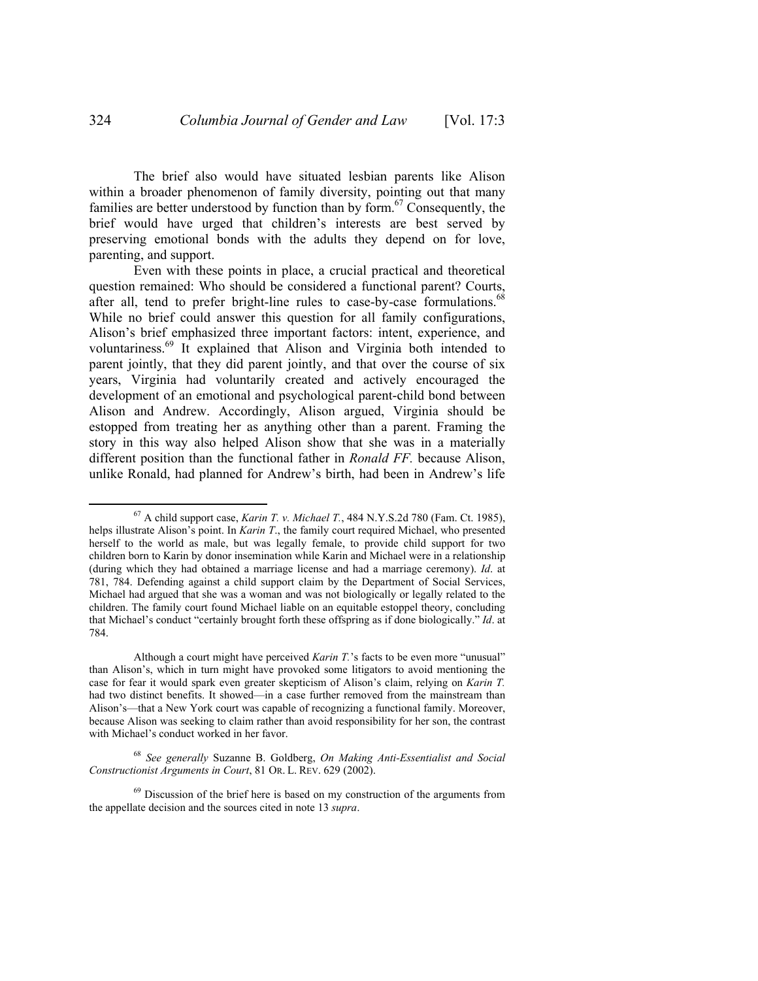The brief also would have situated lesbian parents like Alison within a broader phenomenon of family diversity, pointing out that many families are better understood by function than by form.<sup>67</sup> Consequently, the brief would have urged that children's interests are best served by preserving emotional bonds with the adults they depend on for love, parenting, and support.

Even with these points in place, a crucial practical and theoretical question remained: Who should be considered a functional parent? Courts, after all, tend to prefer bright-line rules to case-by-case formulations.<sup>6</sup> While no brief could answer this question for all family configurations, Alison's brief emphasized three important factors: intent, experience, and voluntariness.69 It explained that Alison and Virginia both intended to parent jointly, that they did parent jointly, and that over the course of six years, Virginia had voluntarily created and actively encouraged the development of an emotional and psychological parent-child bond between Alison and Andrew. Accordingly, Alison argued, Virginia should be estopped from treating her as anything other than a parent. Framing the story in this way also helped Alison show that she was in a materially different position than the functional father in *Ronald FF.* because Alison, unlike Ronald, had planned for Andrew's birth, had been in Andrew's life

 <sup>67</sup> A child support case, *Karin T. v. Michael T.*, 484 N.Y.S.2d 780 (Fam. Ct. 1985), helps illustrate Alison's point. In *Karin T*., the family court required Michael, who presented herself to the world as male, but was legally female, to provide child support for two children born to Karin by donor insemination while Karin and Michael were in a relationship (during which they had obtained a marriage license and had a marriage ceremony). *Id*. at 781, 784. Defending against a child support claim by the Department of Social Services, Michael had argued that she was a woman and was not biologically or legally related to the children. The family court found Michael liable on an equitable estoppel theory, concluding that Michael's conduct "certainly brought forth these offspring as if done biologically." *Id*. at 784.

Although a court might have perceived *Karin T.*'s facts to be even more "unusual" than Alison's, which in turn might have provoked some litigators to avoid mentioning the case for fear it would spark even greater skepticism of Alison's claim, relying on *Karin T.*  had two distinct benefits. It showed—in a case further removed from the mainstream than Alison's—that a New York court was capable of recognizing a functional family. Moreover, because Alison was seeking to claim rather than avoid responsibility for her son, the contrast with Michael's conduct worked in her favor.

<sup>68</sup> *See generally* Suzanne B. Goldberg, *On Making Anti-Essentialist and Social Constructionist Arguments in Court*, 81 OR. L. REV. 629 (2002).

 $69$  Discussion of the brief here is based on my construction of the arguments from the appellate decision and the sources cited in note 13 *supra*.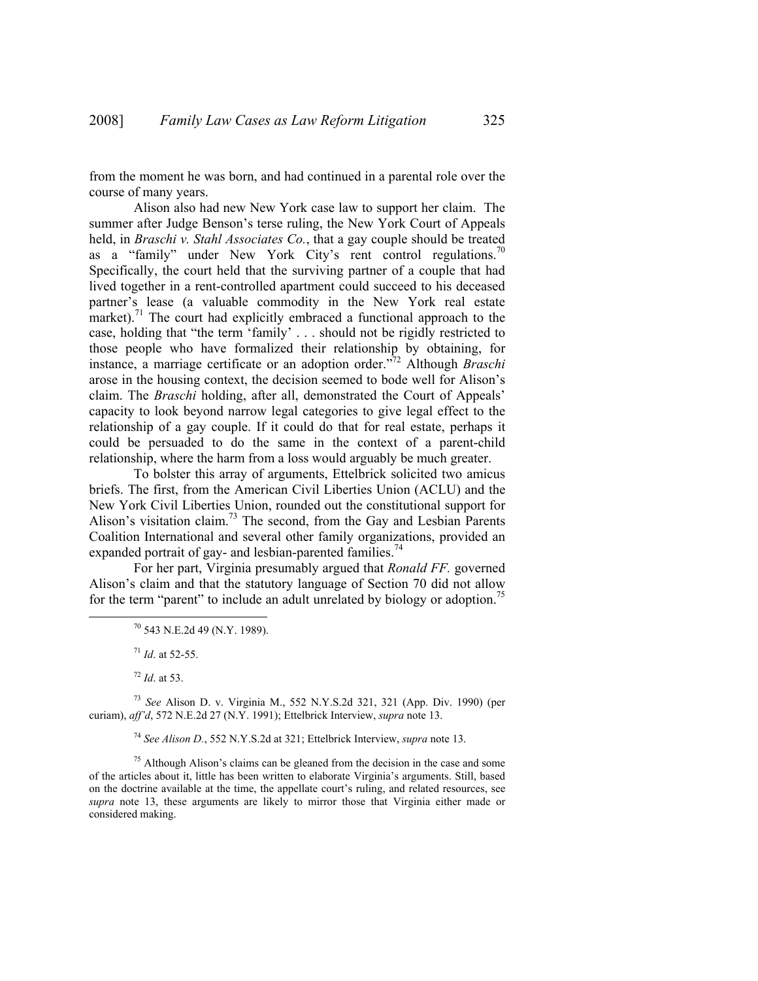from the moment he was born, and had continued in a parental role over the course of many years.

Alison also had new New York case law to support her claim. The summer after Judge Benson's terse ruling, the New York Court of Appeals held, in *Braschi v. Stahl Associates Co.*, that a gay couple should be treated as a "family" under New York City's rent control regulations.<sup>70</sup> Specifically, the court held that the surviving partner of a couple that had lived together in a rent-controlled apartment could succeed to his deceased partner's lease (a valuable commodity in the New York real estate market).<sup>71</sup> The court had explicitly embraced a functional approach to the case, holding that "the term 'family' . . . should not be rigidly restricted to those people who have formalized their relationship by obtaining, for instance, a marriage certificate or an adoption order."72 Although *Braschi*  arose in the housing context, the decision seemed to bode well for Alison's claim. The *Braschi* holding, after all, demonstrated the Court of Appeals' capacity to look beyond narrow legal categories to give legal effect to the relationship of a gay couple. If it could do that for real estate, perhaps it could be persuaded to do the same in the context of a parent-child relationship, where the harm from a loss would arguably be much greater.

To bolster this array of arguments, Ettelbrick solicited two amicus briefs. The first, from the American Civil Liberties Union (ACLU) and the New York Civil Liberties Union, rounded out the constitutional support for Alison's visitation claim.<sup>73</sup> The second, from the Gay and Lesbian Parents Coalition International and several other family organizations, provided an expanded portrait of gay- and lesbian-parented families.<sup>74</sup>

For her part, Virginia presumably argued that *Ronald FF.* governed Alison's claim and that the statutory language of Section 70 did not allow for the term "parent" to include an adult unrelated by biology or adoption.<sup>75</sup>

<sup>73</sup> *See* Alison D. v. Virginia M., 552 N.Y.S.2d 321, 321 (App. Div. 1990) (per curiam), *aff'd*, 572 N.E.2d 27 (N.Y. 1991); Ettelbrick Interview, *supra* note 13.

<sup>74</sup> *See Alison D.*, 552 N.Y.S.2d at 321; Ettelbrick Interview, *supra* note 13.

 $75$  Although Alison's claims can be gleaned from the decision in the case and some of the articles about it, little has been written to elaborate Virginia's arguments. Still, based on the doctrine available at the time, the appellate court's ruling, and related resources, see *supra* note 13, these arguments are likely to mirror those that Virginia either made or considered making.

 <sup>70 543</sup> N.E.2d 49 (N.Y. 1989).

<sup>71</sup> *Id*. at 52-55.

<sup>72</sup> *Id*. at 53.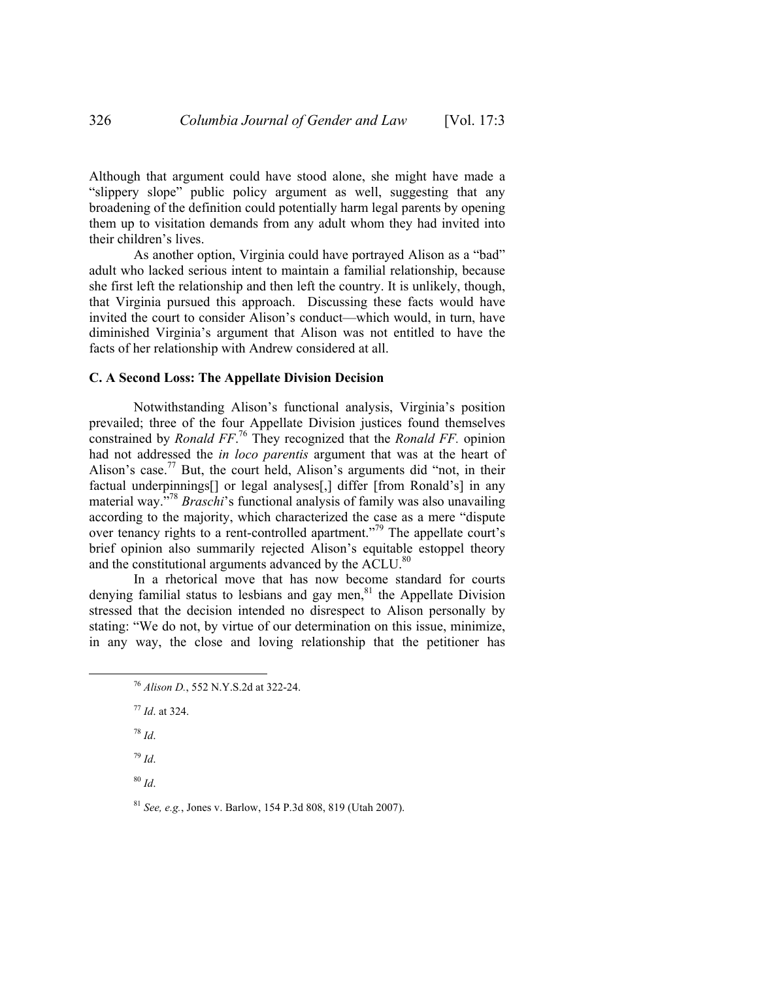Although that argument could have stood alone, she might have made a "slippery slope" public policy argument as well, suggesting that any broadening of the definition could potentially harm legal parents by opening them up to visitation demands from any adult whom they had invited into their children's lives.

As another option, Virginia could have portrayed Alison as a "bad" adult who lacked serious intent to maintain a familial relationship, because she first left the relationship and then left the country. It is unlikely, though, that Virginia pursued this approach. Discussing these facts would have invited the court to consider Alison's conduct—which would, in turn, have diminished Virginia's argument that Alison was not entitled to have the facts of her relationship with Andrew considered at all.

#### **C. A Second Loss: The Appellate Division Decision**

Notwithstanding Alison's functional analysis, Virginia's position prevailed; three of the four Appellate Division justices found themselves constrained by *Ronald FF*. 76 They recognized that the *Ronald FF.* opinion had not addressed the *in loco parentis* argument that was at the heart of Alison's case.<sup>77</sup> But, the court held, Alison's arguments did "not, in their factual underpinnings[] or legal analyses[,] differ [from Ronald's] in any material way."78 *Braschi*'s functional analysis of family was also unavailing according to the majority, which characterized the case as a mere "dispute over tenancy rights to a rent-controlled apartment."79 The appellate court's brief opinion also summarily rejected Alison's equitable estoppel theory and the constitutional arguments advanced by the ACLU.<sup>80</sup>

In a rhetorical move that has now become standard for courts denying familial status to lesbians and gay men,<sup>81</sup> the Appellate Division stressed that the decision intended no disrespect to Alison personally by stating: "We do not, by virtue of our determination on this issue, minimize, in any way, the close and loving relationship that the petitioner has

<sup>77</sup> *Id*. at 324.

<sup>78</sup> *Id*.

<sup>79</sup> *Id*.

<sup>80</sup> *Id*.

<sup>81</sup> *See, e.g.*, Jones v. Barlow, 154 P.3d 808, 819 (Utah 2007).

 <sup>76</sup> *Alison D.*, 552 N.Y.S.2d at 322-24.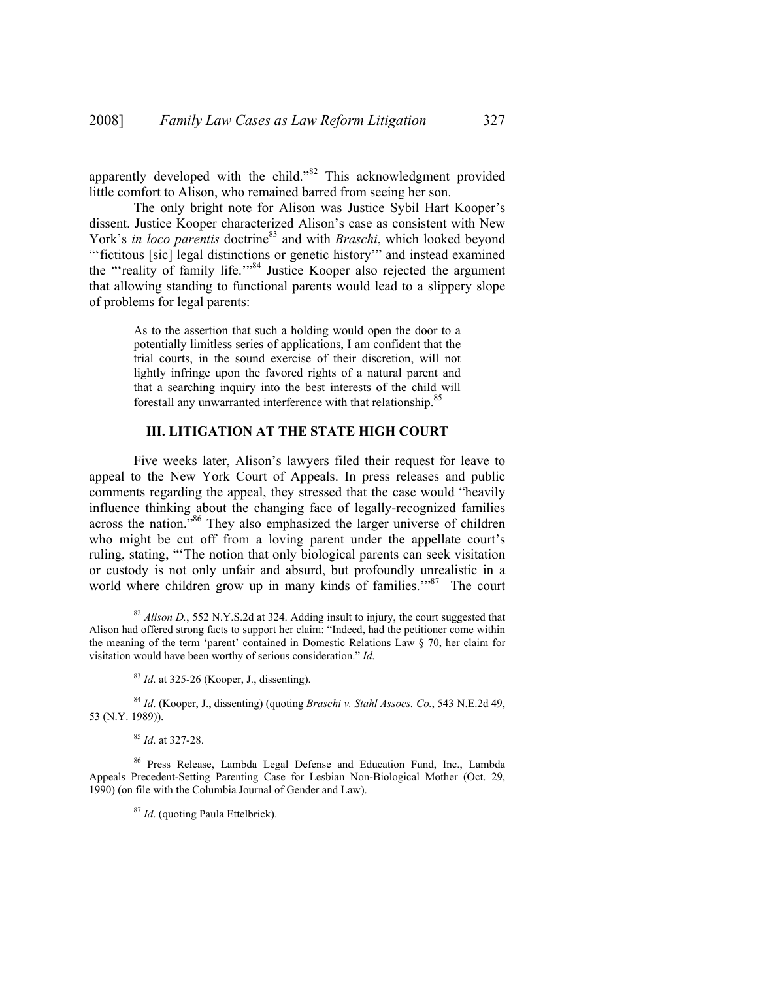apparently developed with the child."82 This acknowledgment provided little comfort to Alison, who remained barred from seeing her son.

The only bright note for Alison was Justice Sybil Hart Kooper's dissent. Justice Kooper characterized Alison's case as consistent with New York's *in loco parentis* doctrine<sup>83</sup> and with *Braschi*, which looked beyond "fictitous [sic] legal distinctions or genetic history" and instead examined the "'reality of family life."<sup>84</sup> Justice Kooper also rejected the argument that allowing standing to functional parents would lead to a slippery slope of problems for legal parents:

> As to the assertion that such a holding would open the door to a potentially limitless series of applications, I am confident that the trial courts, in the sound exercise of their discretion, will not lightly infringe upon the favored rights of a natural parent and that a searching inquiry into the best interests of the child will forestall any unwarranted interference with that relationship.<sup>85</sup>

#### **III. LITIGATION AT THE STATE HIGH COURT**

Five weeks later, Alison's lawyers filed their request for leave to appeal to the New York Court of Appeals. In press releases and public comments regarding the appeal, they stressed that the case would "heavily influence thinking about the changing face of legally-recognized families across the nation."<sup>86</sup> They also emphasized the larger universe of children who might be cut off from a loving parent under the appellate court's ruling, stating, "'The notion that only biological parents can seek visitation or custody is not only unfair and absurd, but profoundly unrealistic in a world where children grow up in many kinds of families."<sup>87</sup> The court

<sup>85</sup> *Id*. at 327-28.

<sup>87</sup> *Id*. (quoting Paula Ettelbrick).

 <sup>82</sup> *Alison D.*, 552 N.Y.S.2d at 324. Adding insult to injury, the court suggested that Alison had offered strong facts to support her claim: "Indeed, had the petitioner come within the meaning of the term 'parent' contained in Domestic Relations Law § 70, her claim for visitation would have been worthy of serious consideration." *Id*.

<sup>83</sup> *Id*. at 325-26 (Kooper, J., dissenting).

<sup>84</sup> *Id*. (Kooper, J., dissenting) (quoting *Braschi v. Stahl Assocs. Co.*, 543 N.E.2d 49, 53 (N.Y. 1989)).

<sup>86</sup> Press Release, Lambda Legal Defense and Education Fund, Inc., Lambda Appeals Precedent-Setting Parenting Case for Lesbian Non-Biological Mother (Oct. 29, 1990) (on file with the Columbia Journal of Gender and Law).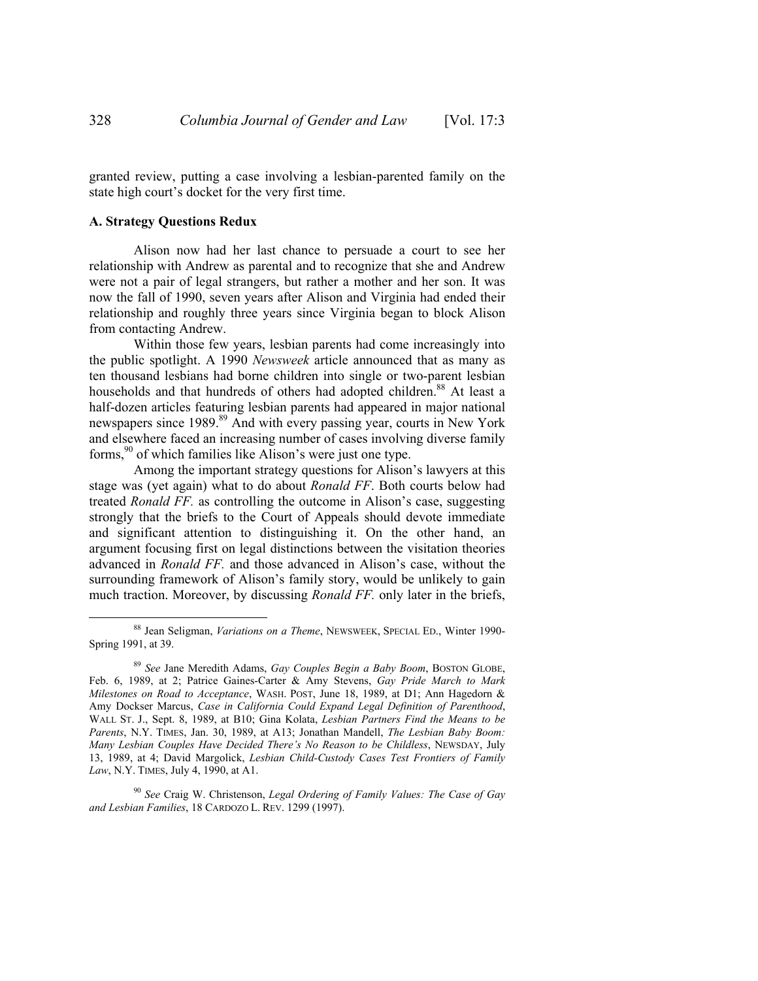granted review, putting a case involving a lesbian-parented family on the state high court's docket for the very first time.

#### **A. Strategy Questions Redux**

Alison now had her last chance to persuade a court to see her relationship with Andrew as parental and to recognize that she and Andrew were not a pair of legal strangers, but rather a mother and her son. It was now the fall of 1990, seven years after Alison and Virginia had ended their relationship and roughly three years since Virginia began to block Alison from contacting Andrew.

Within those few years, lesbian parents had come increasingly into the public spotlight. A 1990 *Newsweek* article announced that as many as ten thousand lesbians had borne children into single or two-parent lesbian households and that hundreds of others had adopted children.<sup>88</sup> At least a half-dozen articles featuring lesbian parents had appeared in major national newspapers since 1989.<sup>89</sup> And with every passing year, courts in New York and elsewhere faced an increasing number of cases involving diverse family forms,<sup>90</sup> of which families like Alison's were just one type.

Among the important strategy questions for Alison's lawyers at this stage was (yet again) what to do about *Ronald FF*. Both courts below had treated *Ronald FF.* as controlling the outcome in Alison's case, suggesting strongly that the briefs to the Court of Appeals should devote immediate and significant attention to distinguishing it. On the other hand, an argument focusing first on legal distinctions between the visitation theories advanced in *Ronald FF.* and those advanced in Alison's case, without the surrounding framework of Alison's family story, would be unlikely to gain much traction. Moreover, by discussing *Ronald FF.* only later in the briefs,

 <sup>88</sup> Jean Seligman, *Variations on a Theme*, NEWSWEEK, SPECIAL ED., Winter 1990- Spring 1991, at 39.

<sup>89</sup> *See* Jane Meredith Adams, *Gay Couples Begin a Baby Boom*, BOSTON GLOBE, Feb. 6, 1989, at 2; Patrice Gaines-Carter & Amy Stevens, *Gay Pride March to Mark Milestones on Road to Acceptance*, WASH. POST, June 18, 1989, at D1; Ann Hagedorn & Amy Dockser Marcus, *Case in California Could Expand Legal Definition of Parenthood*, WALL ST. J., Sept. 8, 1989, at B10; Gina Kolata, *Lesbian Partners Find the Means to be Parents*, N.Y. TIMES, Jan. 30, 1989, at A13; Jonathan Mandell, *The Lesbian Baby Boom: Many Lesbian Couples Have Decided There's No Reason to be Childless*, NEWSDAY, July 13, 1989, at 4; David Margolick, *Lesbian Child-Custody Cases Test Frontiers of Family Law*, N.Y. TIMES, July 4, 1990, at A1.

<sup>90</sup> *See* Craig W. Christenson, *Legal Ordering of Family Values: The Case of Gay and Lesbian Families*, 18 CARDOZO L. REV. 1299 (1997).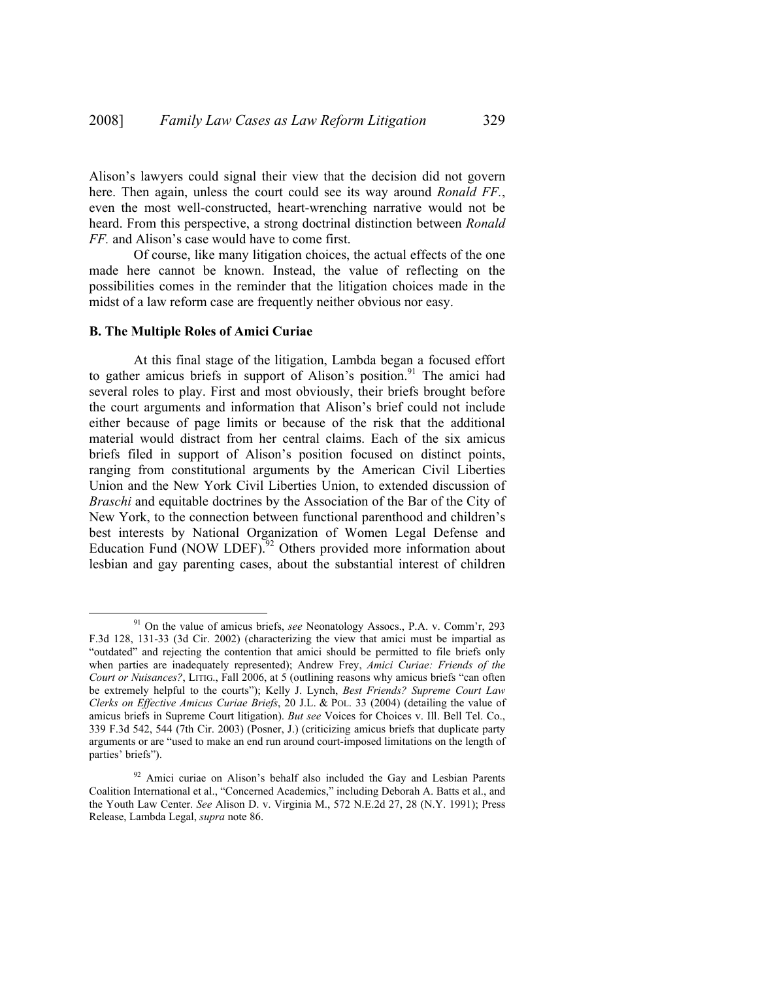Alison's lawyers could signal their view that the decision did not govern here. Then again, unless the court could see its way around *Ronald FF.*, even the most well-constructed, heart-wrenching narrative would not be heard. From this perspective, a strong doctrinal distinction between *Ronald FF.* and Alison's case would have to come first.

Of course, like many litigation choices, the actual effects of the one made here cannot be known. Instead, the value of reflecting on the possibilities comes in the reminder that the litigation choices made in the midst of a law reform case are frequently neither obvious nor easy.

#### **B. The Multiple Roles of Amici Curiae**

At this final stage of the litigation, Lambda began a focused effort to gather amicus briefs in support of Alison's position.<sup>91</sup> The amici had several roles to play. First and most obviously, their briefs brought before the court arguments and information that Alison's brief could not include either because of page limits or because of the risk that the additional material would distract from her central claims. Each of the six amicus briefs filed in support of Alison's position focused on distinct points, ranging from constitutional arguments by the American Civil Liberties Union and the New York Civil Liberties Union, to extended discussion of *Braschi* and equitable doctrines by the Association of the Bar of the City of New York, to the connection between functional parenthood and children's best interests by National Organization of Women Legal Defense and Education Fund (NOW LDEF).<sup>92</sup> Others provided more information about lesbian and gay parenting cases, about the substantial interest of children

 <sup>91</sup> On the value of amicus briefs, *see* Neonatology Assocs., P.A. v. Comm'r, 293 F.3d 128, 131-33 (3d Cir. 2002) (characterizing the view that amici must be impartial as "outdated" and rejecting the contention that amici should be permitted to file briefs only when parties are inadequately represented); Andrew Frey, *Amici Curiae: Friends of the Court or Nuisances?*, LITIG., Fall 2006, at 5 (outlining reasons why amicus briefs "can often be extremely helpful to the courts"); Kelly J. Lynch, *Best Friends? Supreme Court Law Clerks on Effective Amicus Curiae Briefs*, 20 J.L. & POL. 33 (2004) (detailing the value of amicus briefs in Supreme Court litigation). *But see* Voices for Choices v. Ill. Bell Tel. Co., 339 F.3d 542, 544 (7th Cir. 2003) (Posner, J.) (criticizing amicus briefs that duplicate party arguments or are "used to make an end run around court-imposed limitations on the length of parties' briefs").

<sup>&</sup>lt;sup>92</sup> Amici curiae on Alison's behalf also included the Gay and Lesbian Parents Coalition International et al., "Concerned Academics," including Deborah A. Batts et al., and the Youth Law Center. *See* Alison D. v. Virginia M., 572 N.E.2d 27, 28 (N.Y. 1991); Press Release, Lambda Legal, *supra* note 86.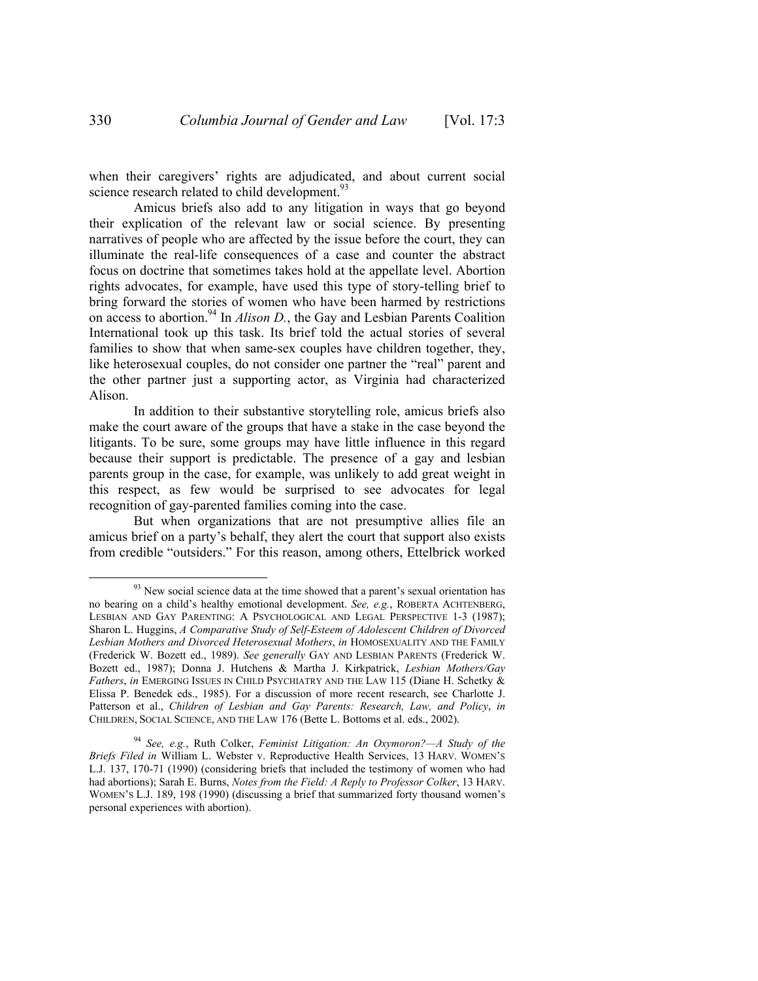when their caregivers' rights are adjudicated, and about current social science research related to child development.<sup>93</sup>

Amicus briefs also add to any litigation in ways that go beyond their explication of the relevant law or social science. By presenting narratives of people who are affected by the issue before the court, they can illuminate the real-life consequences of a case and counter the abstract focus on doctrine that sometimes takes hold at the appellate level. Abortion rights advocates, for example, have used this type of story-telling brief to bring forward the stories of women who have been harmed by restrictions on access to abortion.94 In *Alison D.*, the Gay and Lesbian Parents Coalition International took up this task. Its brief told the actual stories of several families to show that when same-sex couples have children together, they, like heterosexual couples, do not consider one partner the "real" parent and the other partner just a supporting actor, as Virginia had characterized Alison.

In addition to their substantive storytelling role, amicus briefs also make the court aware of the groups that have a stake in the case beyond the litigants. To be sure, some groups may have little influence in this regard because their support is predictable. The presence of a gay and lesbian parents group in the case, for example, was unlikely to add great weight in this respect, as few would be surprised to see advocates for legal recognition of gay-parented families coming into the case.

But when organizations that are not presumptive allies file an amicus brief on a party's behalf, they alert the court that support also exists from credible "outsiders." For this reason, among others, Ettelbrick worked

 $93$  New social science data at the time showed that a parent's sexual orientation has no bearing on a child's healthy emotional development. *See, e.g.*, ROBERTA ACHTENBERG, LESBIAN AND GAY PARENTING: A PSYCHOLOGICAL AND LEGAL PERSPECTIVE 1-3 (1987); Sharon L. Huggins, *A Comparative Study of Self-Esteem of Adolescent Children of Divorced Lesbian Mothers and Divorced Heterosexual Mothers*, *in* HOMOSEXUALITY AND THE FAMILY (Frederick W. Bozett ed., 1989). *See generally* GAY AND LESBIAN PARENTS (Frederick W. Bozett ed., 1987); Donna J. Hutchens & Martha J. Kirkpatrick, *Lesbian Mothers/Gay Fathers*, *in* EMERGING ISSUES IN CHILD PSYCHIATRY AND THE LAW 115 (Diane H. Schetky & Elissa P. Benedek eds., 1985). For a discussion of more recent research, see Charlotte J. Patterson et al., *Children of Lesbian and Gay Parents: Research, Law, and Policy*, *in* CHILDREN, SOCIAL SCIENCE, AND THE LAW 176 (Bette L. Bottoms et al. eds., 2002).

<sup>94</sup> *See, e.g.*, Ruth Colker, *Feminist Litigation: An Oxymoron?—A Study of the Briefs Filed in* William L. Webster v. Reproductive Health Services, 13 HARV. WOMEN'S L.J. 137, 170-71 (1990) (considering briefs that included the testimony of women who had had abortions); Sarah E. Burns, *Notes from the Field: A Reply to Professor Colker*, 13 HARV. WOMEN'S L.J. 189, 198 (1990) (discussing a brief that summarized forty thousand women's personal experiences with abortion).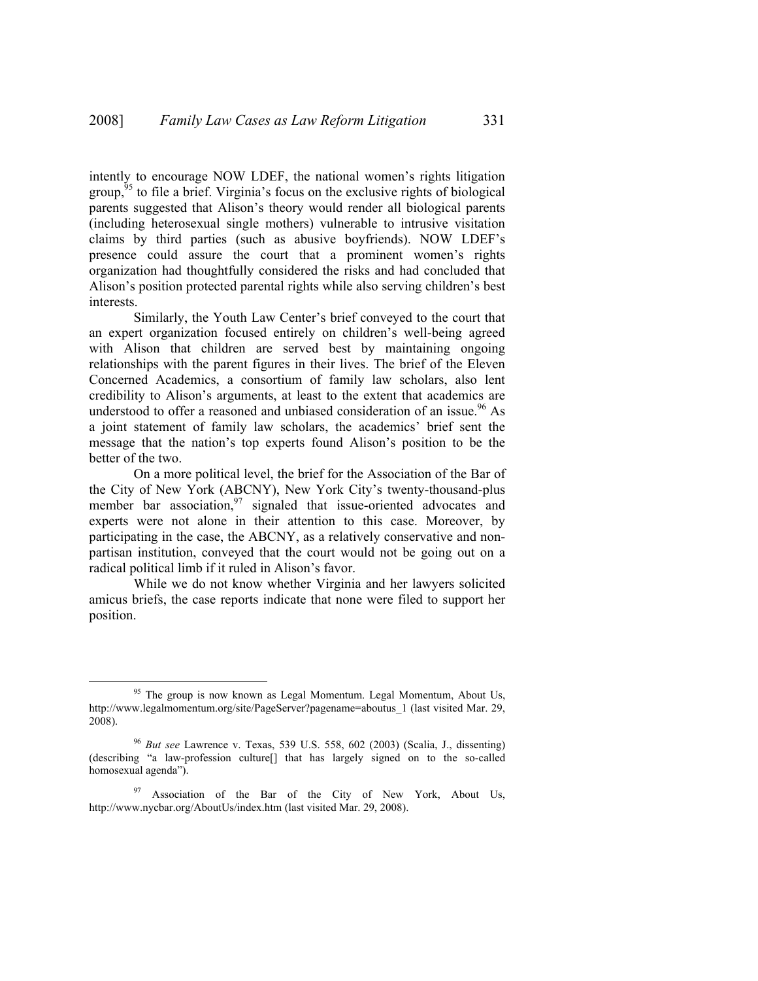intently to encourage NOW LDEF, the national women's rights litigation group,  $95$  to file a brief. Virginia's focus on the exclusive rights of biological parents suggested that Alison's theory would render all biological parents (including heterosexual single mothers) vulnerable to intrusive visitation claims by third parties (such as abusive boyfriends). NOW LDEF's presence could assure the court that a prominent women's rights organization had thoughtfully considered the risks and had concluded that Alison's position protected parental rights while also serving children's best interests.

Similarly, the Youth Law Center's brief conveyed to the court that an expert organization focused entirely on children's well-being agreed with Alison that children are served best by maintaining ongoing relationships with the parent figures in their lives. The brief of the Eleven Concerned Academics, a consortium of family law scholars, also lent credibility to Alison's arguments, at least to the extent that academics are understood to offer a reasoned and unbiased consideration of an issue.<sup>96</sup> As a joint statement of family law scholars, the academics' brief sent the message that the nation's top experts found Alison's position to be the better of the two.

On a more political level, the brief for the Association of the Bar of the City of New York (ABCNY), New York City's twenty-thousand-plus member bar association, $97$  signaled that issue-oriented advocates and experts were not alone in their attention to this case. Moreover, by participating in the case, the ABCNY, as a relatively conservative and nonpartisan institution, conveyed that the court would not be going out on a radical political limb if it ruled in Alison's favor.

While we do not know whether Virginia and her lawyers solicited amicus briefs, the case reports indicate that none were filed to support her position.

<sup>&</sup>lt;sup>95</sup> The group is now known as Legal Momentum. Legal Momentum, About Us, http://www.legalmomentum.org/site/PageServer?pagename=aboutus\_1 (last visited Mar. 29, 2008).

<sup>96</sup> *But see* Lawrence v. Texas, 539 U.S. 558, 602 (2003) (Scalia, J., dissenting) (describing "a law-profession culture[] that has largely signed on to the so-called homosexual agenda").

<sup>&</sup>lt;sup>97</sup> Association of the Bar of the City of New York, About Us, http://www.nycbar.org/AboutUs/index.htm (last visited Mar. 29, 2008).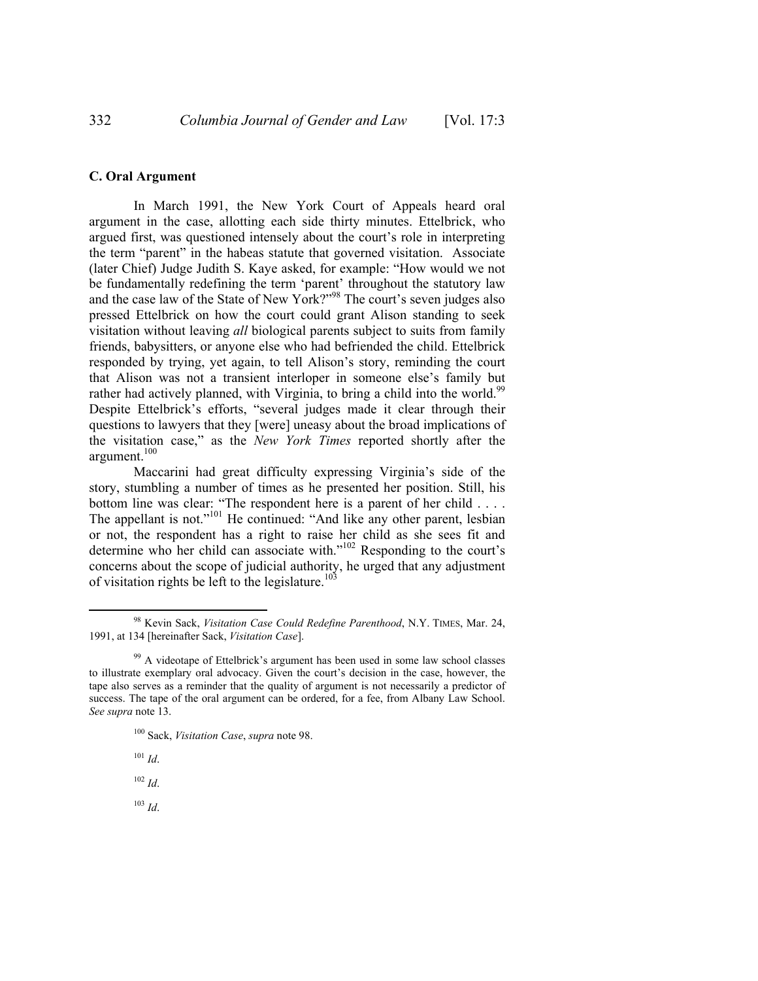## **C. Oral Argument**

In March 1991, the New York Court of Appeals heard oral argument in the case, allotting each side thirty minutes. Ettelbrick, who argued first, was questioned intensely about the court's role in interpreting the term "parent" in the habeas statute that governed visitation. Associate (later Chief) Judge Judith S. Kaye asked, for example: "How would we not be fundamentally redefining the term 'parent' throughout the statutory law and the case law of the State of New York?"<sup>98</sup> The court's seven judges also pressed Ettelbrick on how the court could grant Alison standing to seek visitation without leaving *all* biological parents subject to suits from family friends, babysitters, or anyone else who had befriended the child. Ettelbrick responded by trying, yet again, to tell Alison's story, reminding the court that Alison was not a transient interloper in someone else's family but rather had actively planned, with Virginia, to bring a child into the world.<sup>99</sup> Despite Ettelbrick's efforts, "several judges made it clear through their questions to lawyers that they [were] uneasy about the broad implications of the visitation case," as the *New York Times* reported shortly after the argument.<sup>100</sup>

Maccarini had great difficulty expressing Virginia's side of the story, stumbling a number of times as he presented her position. Still, his bottom line was clear: "The respondent here is a parent of her child . . . . The appellant is not."<sup>101</sup> He continued: "And like any other parent, lesbian or not, the respondent has a right to raise her child as she sees fit and determine who her child can associate with."<sup>102</sup> Responding to the court's concerns about the scope of judicial authority, he urged that any adjustment of visitation rights be left to the legislature.<sup>103</sup>

<sup>102</sup> *Id*.

<sup>103</sup> *Id*.

 <sup>98</sup> Kevin Sack, *Visitation Case Could Redefine Parenthood*, N.Y. TIMES, Mar. 24, 1991, at 134 [hereinafter Sack, *Visitation Case*].

 $99$  A videotape of Ettelbrick's argument has been used in some law school classes to illustrate exemplary oral advocacy. Given the court's decision in the case, however, the tape also serves as a reminder that the quality of argument is not necessarily a predictor of success. The tape of the oral argument can be ordered, for a fee, from Albany Law School. *See supra* note 13.

<sup>100</sup> Sack, *Visitation Case*, *supra* note 98.

<sup>101</sup> *Id*.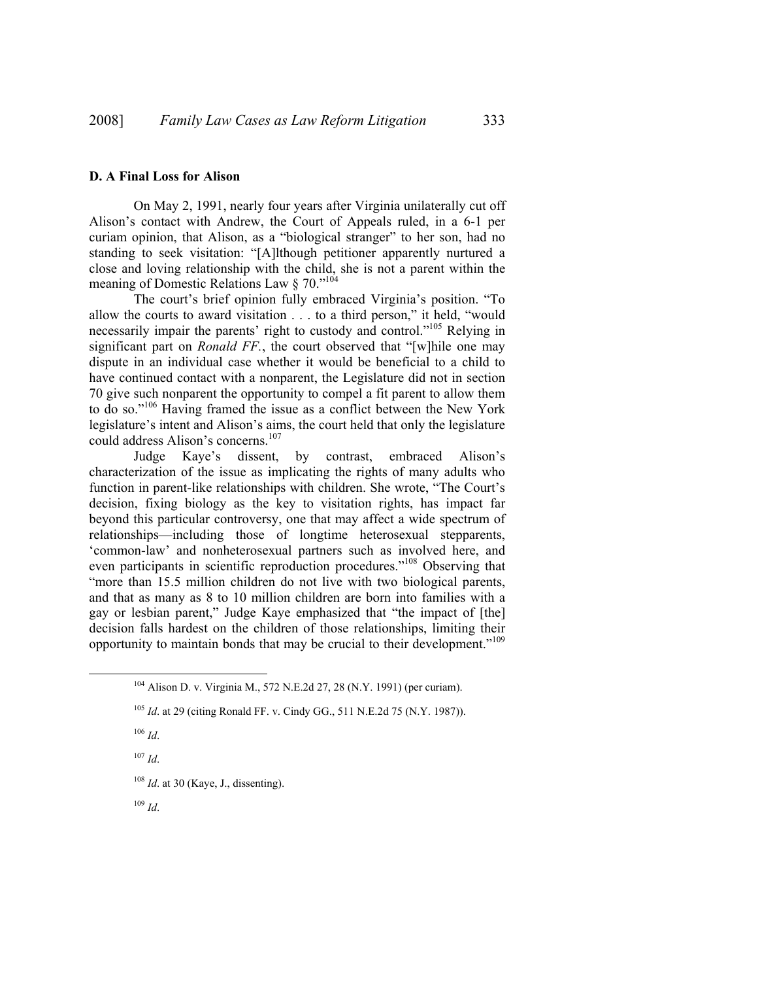#### **D. A Final Loss for Alison**

On May 2, 1991, nearly four years after Virginia unilaterally cut off Alison's contact with Andrew, the Court of Appeals ruled, in a 6-1 per curiam opinion, that Alison, as a "biological stranger" to her son, had no standing to seek visitation: "[A]lthough petitioner apparently nurtured a close and loving relationship with the child, she is not a parent within the meaning of Domestic Relations Law § 70."104

The court's brief opinion fully embraced Virginia's position. "To allow the courts to award visitation . . . to a third person," it held, "would necessarily impair the parents' right to custody and control."105 Relying in significant part on *Ronald FF.*, the court observed that "[w]hile one may dispute in an individual case whether it would be beneficial to a child to have continued contact with a nonparent, the Legislature did not in section 70 give such nonparent the opportunity to compel a fit parent to allow them to do so."106 Having framed the issue as a conflict between the New York legislature's intent and Alison's aims, the court held that only the legislature could address Alison's concerns.<sup>107</sup>

Judge Kaye's dissent, by contrast, embraced Alison's characterization of the issue as implicating the rights of many adults who function in parent-like relationships with children. She wrote, "The Court's decision, fixing biology as the key to visitation rights, has impact far beyond this particular controversy, one that may affect a wide spectrum of relationships—including those of longtime heterosexual stepparents, 'common-law' and nonheterosexual partners such as involved here, and even participants in scientific reproduction procedures."108 Observing that "more than 15.5 million children do not live with two biological parents, and that as many as 8 to 10 million children are born into families with a gay or lesbian parent," Judge Kaye emphasized that "the impact of [the] decision falls hardest on the children of those relationships, limiting their opportunity to maintain bonds that may be crucial to their development."<sup>109</sup>

<sup>107</sup> *Id*.

<sup>108</sup> *Id*. at 30 (Kaye, J., dissenting).

<sup>109</sup> *Id*.

 <sup>104</sup> Alison D. v. Virginia M., 572 N.E.2d 27, 28 (N.Y. 1991) (per curiam).

<sup>105</sup> *Id*. at 29 (citing Ronald FF. v. Cindy GG., 511 N.E.2d 75 (N.Y. 1987)).

<sup>106</sup> *Id*.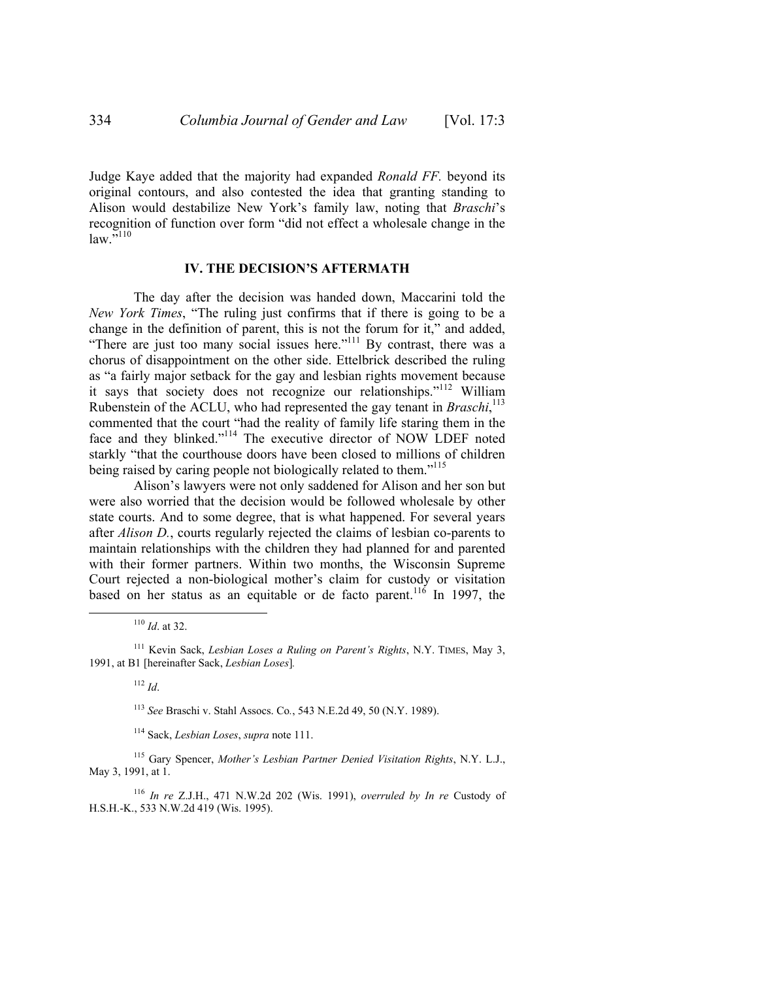Judge Kaye added that the majority had expanded *Ronald FF.* beyond its original contours, and also contested the idea that granting standing to Alison would destabilize New York's family law, noting that *Braschi*'s recognition of function over form "did not effect a wholesale change in the  $law.^{"110}$ 

#### **IV. THE DECISION'S AFTERMATH**

The day after the decision was handed down, Maccarini told the *New York Times*, "The ruling just confirms that if there is going to be a change in the definition of parent, this is not the forum for it," and added, "There are just too many social issues here."<sup>111</sup> By contrast, there was a chorus of disappointment on the other side. Ettelbrick described the ruling as "a fairly major setback for the gay and lesbian rights movement because it says that society does not recognize our relationships."112 William Rubenstein of the ACLU, who had represented the gay tenant in *Braschi*, 113 commented that the court "had the reality of family life staring them in the face and they blinked."<sup>114</sup> The executive director of NOW LDEF noted starkly "that the courthouse doors have been closed to millions of children being raised by caring people not biologically related to them."<sup>115</sup>

Alison's lawyers were not only saddened for Alison and her son but were also worried that the decision would be followed wholesale by other state courts. And to some degree, that is what happened. For several years after *Alison D.*, courts regularly rejected the claims of lesbian co-parents to maintain relationships with the children they had planned for and parented with their former partners. Within two months, the Wisconsin Supreme Court rejected a non-biological mother's claim for custody or visitation based on her status as an equitable or de facto parent.<sup>116</sup> In 1997, the

110 *Id*. at 32.

115 Gary Spencer, *Mother's Lesbian Partner Denied Visitation Rights*, N.Y. L.J., May 3, 1991, at 1.

<sup>116</sup> *In re* Z.J.H., 471 N.W.2d 202 (Wis. 1991), *overruled by In re* Custody of H.S.H.-K., 533 N.W.2d 419 (Wis. 1995).

<sup>111</sup> Kevin Sack, *Lesbian Loses a Ruling on Parent's Rights*, N.Y. TIMES, May 3, 1991, at B1 [hereinafter Sack, *Lesbian Loses*]*.*

<sup>112</sup> *Id*.

<sup>113</sup> *See* Braschi v. Stahl Assocs. Co*.*, 543 N.E.2d 49, 50 (N.Y. 1989).

<sup>114</sup> Sack, *Lesbian Loses*, *supra* note 111.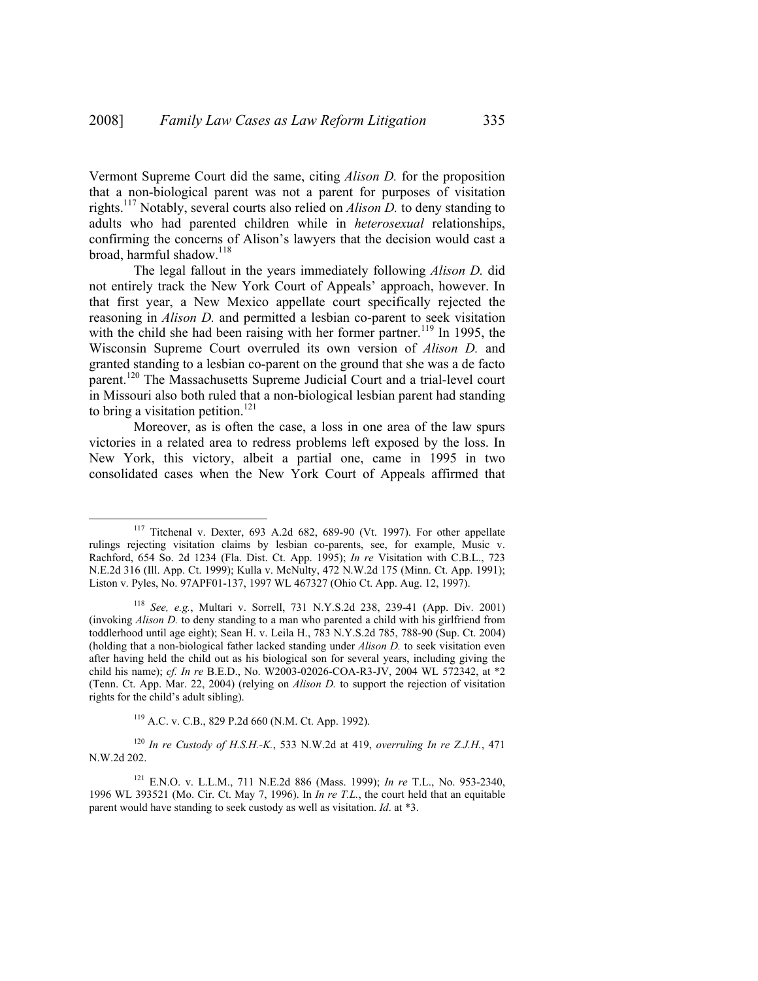Vermont Supreme Court did the same, citing *Alison D.* for the proposition that a non-biological parent was not a parent for purposes of visitation rights.117 Notably, several courts also relied on *Alison D.* to deny standing to adults who had parented children while in *heterosexual* relationships, confirming the concerns of Alison's lawyers that the decision would cast a broad, harmful shadow.<sup>118</sup>

The legal fallout in the years immediately following *Alison D.* did not entirely track the New York Court of Appeals' approach, however. In that first year, a New Mexico appellate court specifically rejected the reasoning in *Alison D.* and permitted a lesbian co-parent to seek visitation with the child she had been raising with her former partner.<sup>119</sup> In 1995, the Wisconsin Supreme Court overruled its own version of *Alison D.* and granted standing to a lesbian co-parent on the ground that she was a de facto parent.<sup>120</sup> The Massachusetts Supreme Judicial Court and a trial-level court in Missouri also both ruled that a non-biological lesbian parent had standing to bring a visitation petition.<sup>121</sup>

Moreover, as is often the case, a loss in one area of the law spurs victories in a related area to redress problems left exposed by the loss. In New York, this victory, albeit a partial one, came in 1995 in two consolidated cases when the New York Court of Appeals affirmed that

119 A.C. v. C.B., 829 P.2d 660 (N.M. Ct. App. 1992).

<sup>120</sup> *In re Custody of H.S.H.-K.*, 533 N.W.2d at 419, *overruling In re Z.J.H.*, 471 N.W.2d 202.

 <sup>117</sup> Titchenal v. Dexter, 693 A.2d 682, 689-90 (Vt. 1997). For other appellate rulings rejecting visitation claims by lesbian co-parents, see, for example, Music v. Rachford, 654 So. 2d 1234 (Fla. Dist. Ct. App. 1995); *In re* Visitation with C.B.L., 723 N.E.2d 316 (Ill. App. Ct. 1999); Kulla v. McNulty, 472 N.W.2d 175 (Minn. Ct. App. 1991); Liston v. Pyles, No. 97APF01-137, 1997 WL 467327 (Ohio Ct. App. Aug. 12, 1997).

<sup>118</sup> *See, e.g.*, Multari v. Sorrell, 731 N.Y.S.2d 238, 239-41 (App. Div. 2001) (invoking *Alison D.* to deny standing to a man who parented a child with his girlfriend from toddlerhood until age eight); Sean H. v. Leila H., 783 N.Y.S.2d 785, 788-90 (Sup. Ct. 2004) (holding that a non-biological father lacked standing under *Alison D.* to seek visitation even after having held the child out as his biological son for several years, including giving the child his name); *cf. In re* B.E.D., No. W2003-02026-COA-R3-JV, 2004 WL 572342, at \*2 (Tenn. Ct. App. Mar. 22, 2004) (relying on *Alison D.* to support the rejection of visitation rights for the child's adult sibling).

<sup>121</sup> E.N.O. v. L.L.M., 711 N.E.2d 886 (Mass. 1999); *In re* T.L., No. 953-2340, 1996 WL 393521 (Mo. Cir. Ct. May 7, 1996). In *In re T.L.*, the court held that an equitable parent would have standing to seek custody as well as visitation. *Id*. at \*3.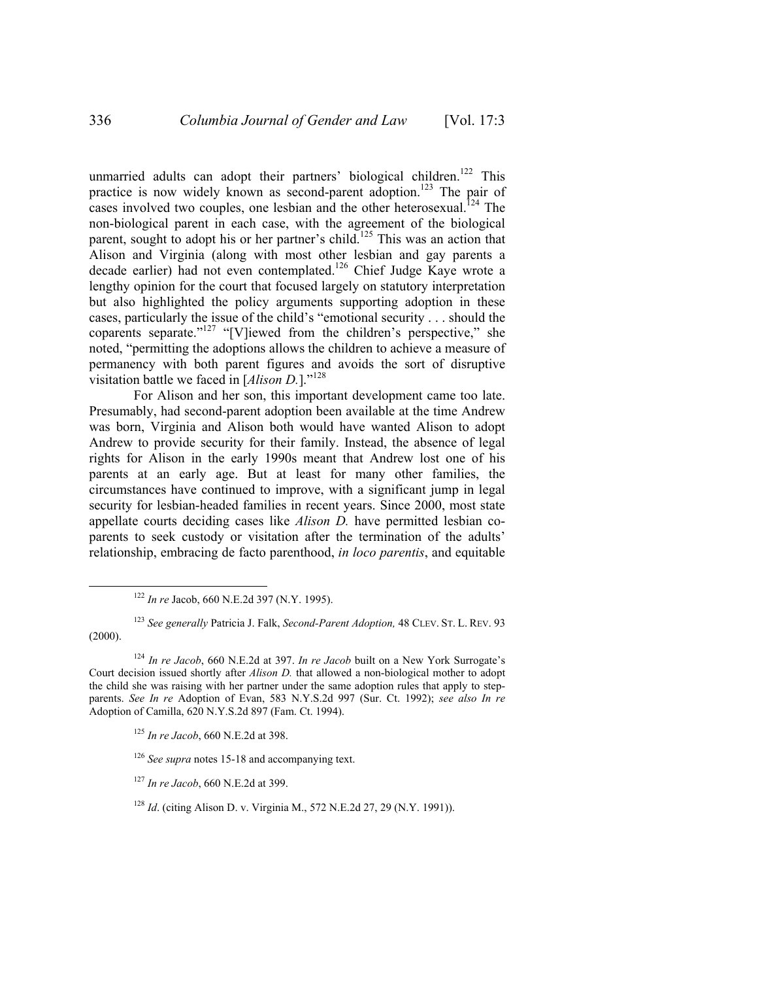unmarried adults can adopt their partners' biological children.<sup>122</sup> This practice is now widely known as second-parent adoption.<sup>123</sup> The pair of cases involved two couples, one lesbian and the other heterosexual.<sup>124</sup> The non-biological parent in each case, with the agreement of the biological parent, sought to adopt his or her partner's child.<sup>125</sup> This was an action that Alison and Virginia (along with most other lesbian and gay parents a decade earlier) had not even contemplated.<sup>126</sup> Chief Judge Kaye wrote a lengthy opinion for the court that focused largely on statutory interpretation but also highlighted the policy arguments supporting adoption in these cases, particularly the issue of the child's "emotional security . . . should the coparents separate."127 "[V]iewed from the children's perspective," she noted, "permitting the adoptions allows the children to achieve a measure of permanency with both parent figures and avoids the sort of disruptive visitation battle we faced in [*Alison D.*]."<sup>128</sup>

For Alison and her son, this important development came too late. Presumably, had second-parent adoption been available at the time Andrew was born, Virginia and Alison both would have wanted Alison to adopt Andrew to provide security for their family. Instead, the absence of legal rights for Alison in the early 1990s meant that Andrew lost one of his parents at an early age. But at least for many other families, the circumstances have continued to improve, with a significant jump in legal security for lesbian-headed families in recent years. Since 2000, most state appellate courts deciding cases like *Alison D.* have permitted lesbian coparents to seek custody or visitation after the termination of the adults' relationship, embracing de facto parenthood, *in loco parentis*, and equitable

<sup>123</sup> *See generally* Patricia J. Falk, *Second-Parent Adoption,* 48 CLEV. ST. L. REV. 93  $(2000).$ 

<sup>125</sup> *In re Jacob*, 660 N.E.2d at 398.

<sup>126</sup> *See supra* notes 15-18 and accompanying text.

<sup>127</sup> *In re Jacob*, 660 N.E.2d at 399.

<sup>128</sup> *Id*. (citing Alison D. v. Virginia M., 572 N.E.2d 27, 29 (N.Y. 1991)).

 <sup>122</sup> *In re* Jacob, 660 N.E.2d 397 (N.Y. 1995).

<sup>124</sup> *In re Jacob*, 660 N.E.2d at 397. *In re Jacob* built on a New York Surrogate's Court decision issued shortly after *Alison D.* that allowed a non-biological mother to adopt the child she was raising with her partner under the same adoption rules that apply to stepparents. *See In re* Adoption of Evan, 583 N.Y.S.2d 997 (Sur. Ct. 1992); *see also In re* Adoption of Camilla, 620 N.Y.S.2d 897 (Fam. Ct. 1994).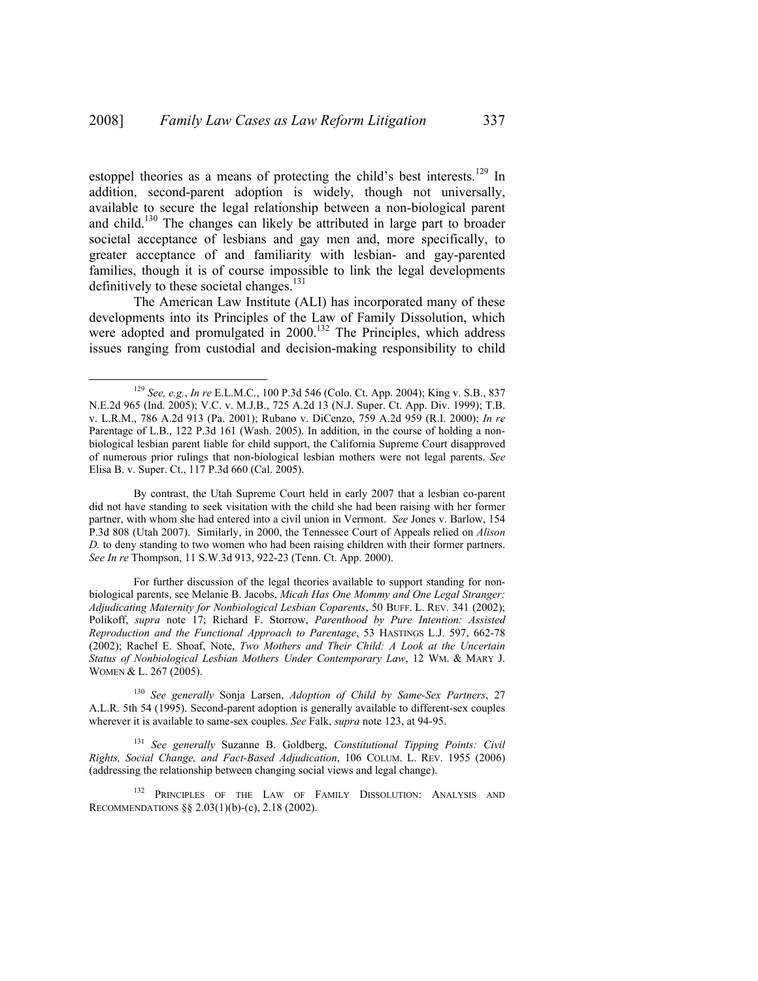estoppel theories as a means of protecting the child's best interests.<sup>129</sup> In addition, second-parent adoption is widely, though not universally, available to secure the legal relationship between a non-biological parent and child.130 The changes can likely be attributed in large part to broader societal acceptance of lesbians and gay men and, more specifically, to greater acceptance of and familiarity with lesbian- and gay-parented families, though it is of course impossible to link the legal developments definitively to these societal changes. $131$ 

The American Law Institute (ALI) has incorporated many of these developments into its Principles of the Law of Family Dissolution, which were adopted and promulgated in 2000.<sup>132</sup> The Principles, which address issues ranging from custodial and decision-making responsibility to child

By contrast, the Utah Supreme Court held in early 2007 that a lesbian co-parent did not have standing to seek visitation with the child she had been raising with her former partner, with whom she had entered into a civil union in Vermont. *See* Jones v. Barlow, 154 P.3d 808 (Utah 2007). Similarly, in 2000, the Tennessee Court of Appeals relied on *Alison D.* to deny standing to two women who had been raising children with their former partners. *See In re* Thompson, 11 S.W.3d 913, 922-23 (Tenn. Ct. App. 2000).

For further discussion of the legal theories available to support standing for nonbiological parents, see Melanie B. Jacobs, *Micah Has One Mommy and One Legal Stranger: Adjudicating Maternity for Nonbiological Lesbian Coparents*, 50 BUFF. L. REV. 341 (2002); Polikoff, *supra* note 17; Richard F. Storrow, *Parenthood by Pure Intention: Assisted Reproduction and the Functional Approach to Parentage*, 53 HASTINGS L.J. 597, 662-78 (2002); Rachel E. Shoaf, Note, *Two Mothers and Their Child: A Look at the Uncertain Status of Nonbiological Lesbian Mothers Under Contemporary Law*, 12 WM. & MARY J. WOMEN & L. 267 (2005).

 <sup>129</sup> *See, e.g.*, *In re* E.L.M.C., 100 P.3d 546 (Colo. Ct. App. 2004); King v. S.B., 837 N.E.2d 965 (Ind. 2005); V.C. v. M.J.B., 725 A.2d 13 (N.J. Super. Ct. App. Div. 1999); T.B. v. L.R.M., 786 A.2d 913 (Pa. 2001); Rubano v. DiCenzo, 759 A.2d 959 (R.I. 2000); *In re* Parentage of L.B., 122 P.3d 161 (Wash. 2005). In addition, in the course of holding a nonbiological lesbian parent liable for child support, the California Supreme Court disapproved of numerous prior rulings that non-biological lesbian mothers were not legal parents. *See*  Elisa B. v. Super. Ct., 117 P.3d 660 (Cal. 2005).

<sup>130</sup> *See generally* Sonja Larsen, *Adoption of Child by Same-Sex Partners*, 27 A.L.R. 5th 54 (1995). Second-parent adoption is generally available to different-sex couples wherever it is available to same-sex couples. *See* Falk, *supra* note 123, at 94-95.

<sup>131</sup> *See generally* Suzanne B. Goldberg, *Constitutional Tipping Points: Civil Rights, Social Change, and Fact-Based Adjudication*, 106 COLUM. L. REV. 1955 (2006) (addressing the relationship between changing social views and legal change).

<sup>&</sup>lt;sup>132</sup> PRINCIPLES OF THE LAW OF FAMILY DISSOLUTION: ANALYSIS AND RECOMMENDATIONS §§ 2.03(1)(b)-(c), 2.18 (2002).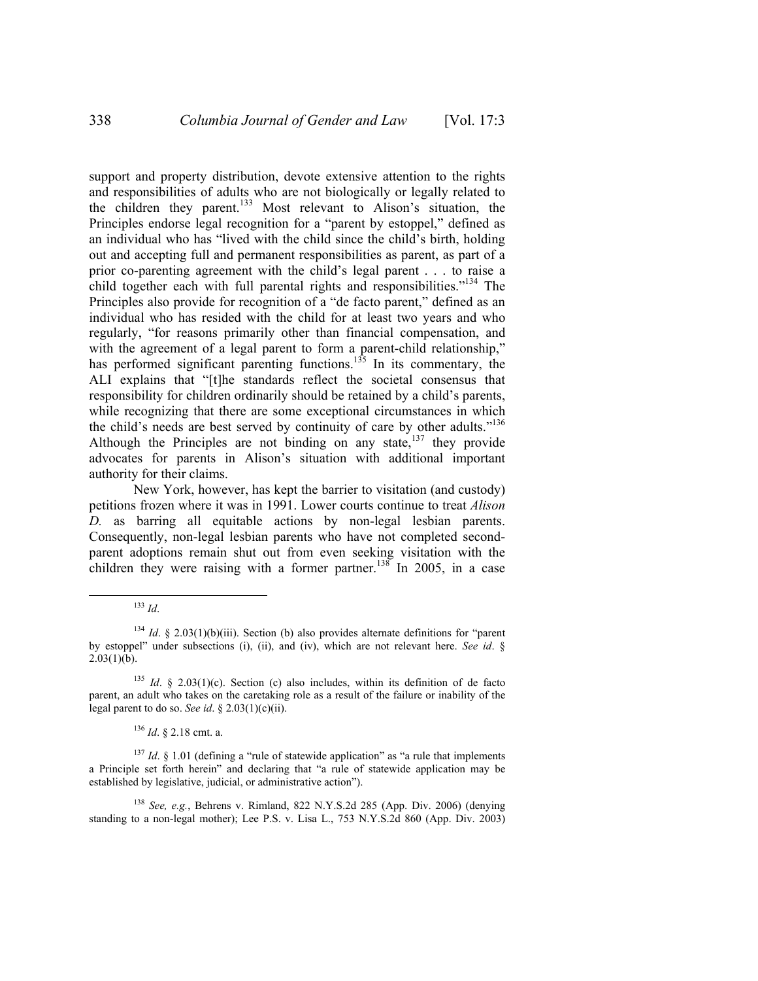support and property distribution, devote extensive attention to the rights and responsibilities of adults who are not biologically or legally related to the children they parent.<sup>133</sup> Most relevant to Alison's situation, the Principles endorse legal recognition for a "parent by estoppel," defined as an individual who has "lived with the child since the child's birth, holding out and accepting full and permanent responsibilities as parent, as part of a prior co-parenting agreement with the child's legal parent . . . to raise a child together each with full parental rights and responsibilities."<sup>134</sup> The Principles also provide for recognition of a "de facto parent," defined as an individual who has resided with the child for at least two years and who regularly, "for reasons primarily other than financial compensation, and with the agreement of a legal parent to form a parent-child relationship," has performed significant parenting functions.<sup>135</sup> In its commentary, the ALI explains that "[t]he standards reflect the societal consensus that responsibility for children ordinarily should be retained by a child's parents, while recognizing that there are some exceptional circumstances in which the child's needs are best served by continuity of care by other adults."<sup>136</sup> Although the Principles are not binding on any state, $137$  they provide advocates for parents in Alison's situation with additional important authority for their claims.

New York, however, has kept the barrier to visitation (and custody) petitions frozen where it was in 1991. Lower courts continue to treat *Alison D.* as barring all equitable actions by non-legal lesbian parents. Consequently, non-legal lesbian parents who have not completed secondparent adoptions remain shut out from even seeking visitation with the children they were raising with a former partner.<sup>138</sup> In 2005, in a case

<sup>136</sup> *Id*. § 2.18 cmt. a.

<sup>137</sup> *Id.* § 1.01 (defining a "rule of statewide application" as "a rule that implements a Principle set forth herein" and declaring that "a rule of statewide application may be established by legislative, judicial, or administrative action").

<sup>138</sup> *See, e.g.*, Behrens v. Rimland, 822 N.Y.S.2d 285 (App. Div. 2006) (denying standing to a non-legal mother); Lee P.S. v. Lisa L.,  $753 \text{ N.Y.S.2d}$  860 (App. Div. 2003)

 <sup>133</sup> *Id*.

<sup>&</sup>lt;sup>134</sup> *Id.* § 2.03(1)(b)(iii). Section (b) also provides alternate definitions for "parent by estoppel" under subsections (i), (ii), and (iv), which are not relevant here. *See id*. §  $2.03(1)(b)$ .

<sup>135</sup> *Id*. § 2.03(1)(c). Section (c) also includes, within its definition of de facto parent, an adult who takes on the caretaking role as a result of the failure or inability of the legal parent to do so. *See id*. § 2.03(1)(c)(ii).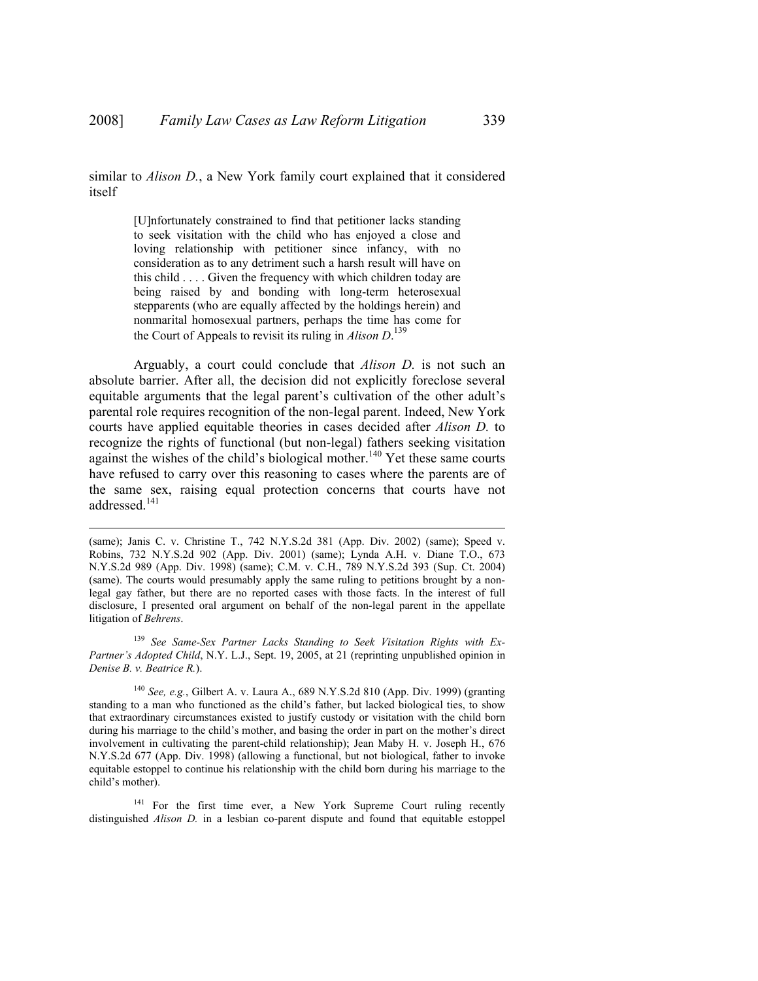similar to *Alison D.*, a New York family court explained that it considered itself

> [U]nfortunately constrained to find that petitioner lacks standing to seek visitation with the child who has enjoyed a close and loving relationship with petitioner since infancy, with no consideration as to any detriment such a harsh result will have on this child . . . . Given the frequency with which children today are being raised by and bonding with long-term heterosexual stepparents (who are equally affected by the holdings herein) and nonmarital homosexual partners, perhaps the time has come for the Court of Appeals to revisit its ruling in *Alison D*. 139

Arguably, a court could conclude that *Alison D.* is not such an absolute barrier. After all, the decision did not explicitly foreclose several equitable arguments that the legal parent's cultivation of the other adult's parental role requires recognition of the non-legal parent. Indeed, New York courts have applied equitable theories in cases decided after *Alison D.* to recognize the rights of functional (but non-legal) fathers seeking visitation against the wishes of the child's biological mother.<sup>140</sup> Yet these same courts have refused to carry over this reasoning to cases where the parents are of the same sex, raising equal protection concerns that courts have not addressed.<sup>141</sup>

 $\overline{a}$ 

<sup>139</sup> *See Same-Sex Partner Lacks Standing to Seek Visitation Rights with Ex-Partner's Adopted Child*, N.Y. L.J., Sept. 19, 2005, at 21 (reprinting unpublished opinion in *Denise B. v. Beatrice R.*).

<sup>140</sup> *See, e.g.*, Gilbert A. v. Laura A., 689 N.Y.S.2d 810 (App. Div. 1999) (granting standing to a man who functioned as the child's father, but lacked biological ties, to show that extraordinary circumstances existed to justify custody or visitation with the child born during his marriage to the child's mother, and basing the order in part on the mother's direct involvement in cultivating the parent-child relationship); Jean Maby H. v. Joseph H., 676 N.Y.S.2d 677 (App. Div. 1998) (allowing a functional, but not biological, father to invoke equitable estoppel to continue his relationship with the child born during his marriage to the child's mother).

<sup>141</sup> For the first time ever, a New York Supreme Court ruling recently distinguished *Alison D.* in a lesbian co-parent dispute and found that equitable estoppel

<sup>(</sup>same); Janis C. v. Christine T., 742 N.Y.S.2d 381 (App. Div. 2002) (same); Speed v. Robins, 732 N.Y.S.2d 902 (App. Div. 2001) (same); Lynda A.H. v. Diane T.O., 673 N.Y.S.2d 989 (App. Div. 1998) (same); C.M. v. C.H., 789 N.Y.S.2d 393 (Sup. Ct. 2004) (same). The courts would presumably apply the same ruling to petitions brought by a nonlegal gay father, but there are no reported cases with those facts. In the interest of full disclosure, I presented oral argument on behalf of the non-legal parent in the appellate litigation of *Behrens*.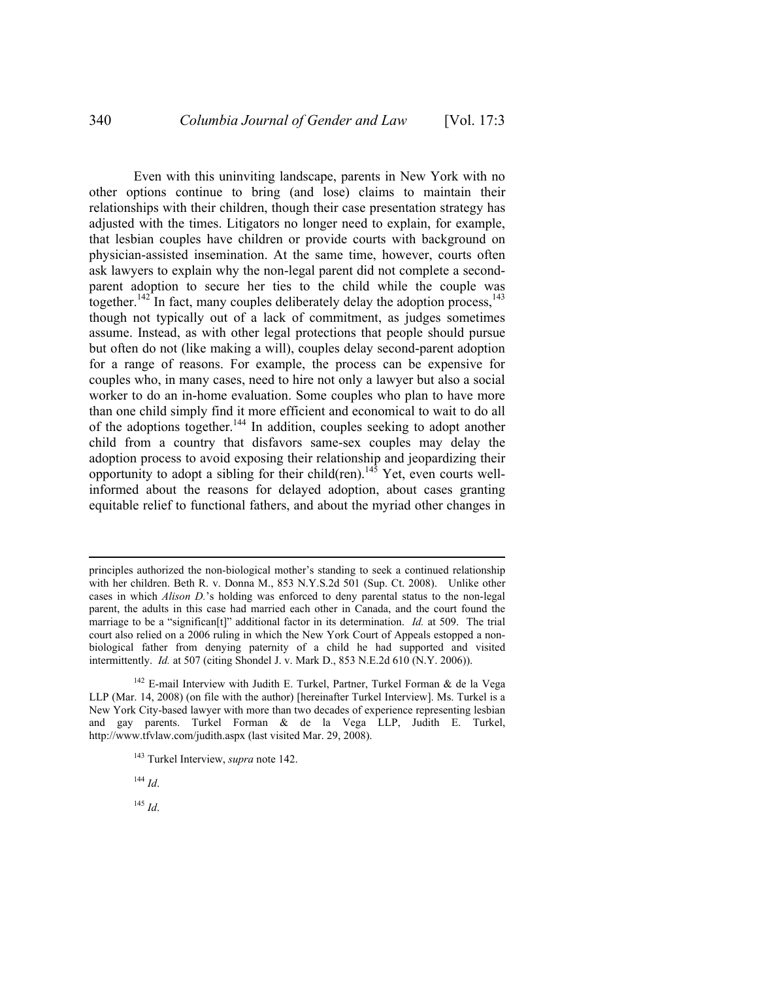Even with this uninviting landscape, parents in New York with no other options continue to bring (and lose) claims to maintain their relationships with their children, though their case presentation strategy has adjusted with the times. Litigators no longer need to explain, for example, that lesbian couples have children or provide courts with background on physician-assisted insemination. At the same time, however, courts often ask lawyers to explain why the non-legal parent did not complete a secondparent adoption to secure her ties to the child while the couple was together.<sup>142</sup> In fact, many couples deliberately delay the adoption process,<sup>143</sup> though not typically out of a lack of commitment, as judges sometimes assume. Instead, as with other legal protections that people should pursue but often do not (like making a will), couples delay second-parent adoption for a range of reasons. For example, the process can be expensive for couples who, in many cases, need to hire not only a lawyer but also a social worker to do an in-home evaluation. Some couples who plan to have more than one child simply find it more efficient and economical to wait to do all of the adoptions together.<sup>144</sup> In addition, couples seeking to adopt another child from a country that disfavors same-sex couples may delay the adoption process to avoid exposing their relationship and jeopardizing their opportunity to adopt a sibling for their child(ren).<sup>145</sup> Yet, even courts wellinformed about the reasons for delayed adoption, about cases granting equitable relief to functional fathers, and about the myriad other changes in

<sup>145</sup> *Id*.

 $\overline{a}$ 

principles authorized the non-biological mother's standing to seek a continued relationship with her children. Beth R. v. Donna M., 853 N.Y.S.2d 501 (Sup. Ct. 2008). Unlike other cases in which *Alison D.*'s holding was enforced to deny parental status to the non-legal parent, the adults in this case had married each other in Canada, and the court found the marriage to be a "significan[t]" additional factor in its determination. *Id.* at 509. The trial court also relied on a 2006 ruling in which the New York Court of Appeals estopped a nonbiological father from denying paternity of a child he had supported and visited intermittently. *Id.* at 507 (citing Shondel J. v. Mark D., 853 N.E.2d 610 (N.Y. 2006)).

 $142$  E-mail Interview with Judith E. Turkel, Partner, Turkel Forman & de la Vega LLP (Mar. 14, 2008) (on file with the author) [hereinafter Turkel Interview]. Ms. Turkel is a New York City-based lawyer with more than two decades of experience representing lesbian and gay parents. Turkel Forman & de la Vega LLP, Judith E. Turkel, http://www.tfvlaw.com/judith.aspx (last visited Mar. 29, 2008).

<sup>143</sup> Turkel Interview, *supra* note 142.

<sup>144</sup> *Id*.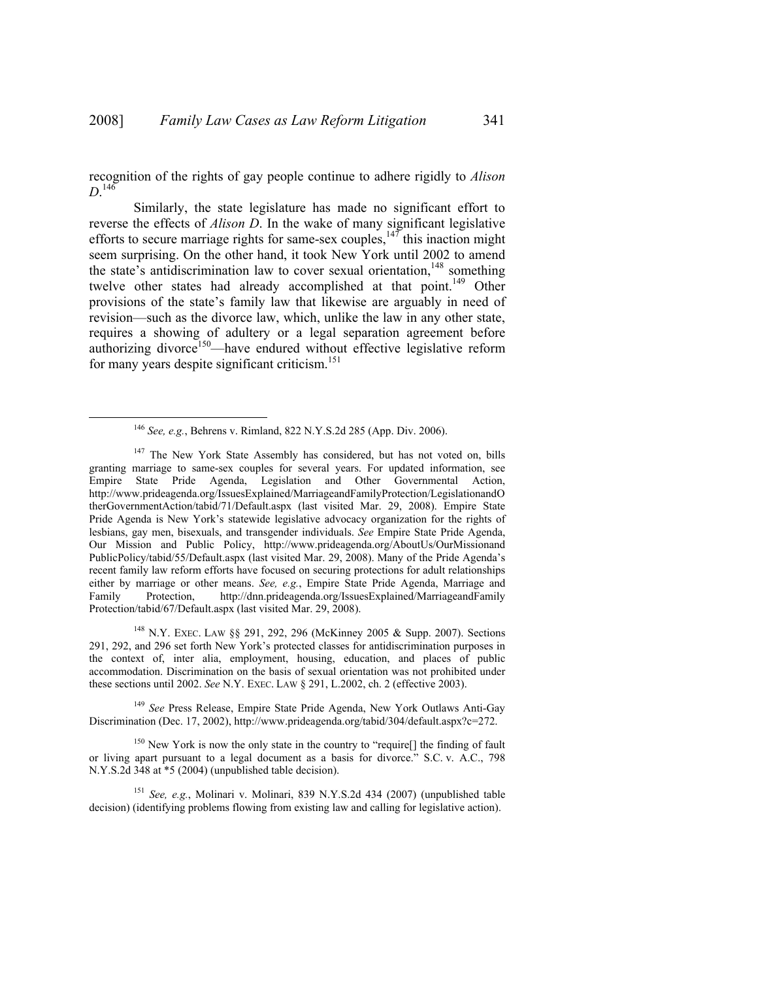recognition of the rights of gay people continue to adhere rigidly to *Alison*   $D^{146}$ 

Similarly, the state legislature has made no significant effort to reverse the effects of *Alison D*. In the wake of many significant legislative efforts to secure marriage rights for same-sex couples,  $147$  this inaction might seem surprising. On the other hand, it took New York until 2002 to amend the state's antidiscrimination law to cover sexual orientation, $148$  something twelve other states had already accomplished at that point.<sup>149</sup> Other provisions of the state's family law that likewise are arguably in need of revision—such as the divorce law, which, unlike the law in any other state, requires a showing of adultery or a legal separation agreement before authorizing divorce<sup>150</sup>—have endured without effective legislative reform for many years despite significant criticism.<sup>151</sup>

148 N.Y. EXEC. LAW §§ 291, 292, 296 (McKinney 2005 & Supp. 2007). Sections 291, 292, and 296 set forth New York's protected classes for antidiscrimination purposes in the context of, inter alia, employment, housing, education, and places of public accommodation. Discrimination on the basis of sexual orientation was not prohibited under these sections until 2002. *See* N.Y. EXEC. LAW § 291, L.2002, ch. 2 (effective 2003).

<sup>149</sup> *See* Press Release, Empire State Pride Agenda, New York Outlaws Anti-Gay Discrimination (Dec. 17, 2002), http://www.prideagenda.org/tabid/304/default.aspx?c=272.

<sup>150</sup> New York is now the only state in the country to "require[] the finding of fault or living apart pursuant to a legal document as a basis for divorce." S.C. v. A.C., 798 N.Y.S.2d 348 at \*5 (2004) (unpublished table decision).

<sup>151</sup> *See, e.g.*, Molinari v. Molinari, 839 N.Y.S.2d 434 (2007) (unpublished table decision) (identifying problems flowing from existing law and calling for legislative action).

 <sup>146</sup> *See, e.g.*, Behrens v. Rimland, 822 N.Y.S.2d 285 (App. Div. 2006).

<sup>&</sup>lt;sup>147</sup> The New York State Assembly has considered, but has not voted on, bills granting marriage to same-sex couples for several years. For updated information, see Empire State Pride Agenda, Legislation and Other Governmental Action, http://www.prideagenda.org/IssuesExplained/MarriageandFamilyProtection/LegislationandO therGovernmentAction/tabid/71/Default.aspx (last visited Mar. 29, 2008). Empire State Pride Agenda is New York's statewide legislative advocacy organization for the rights of lesbians, gay men, bisexuals, and transgender individuals. *See* Empire State Pride Agenda, Our Mission and Public Policy, http://www.prideagenda.org/AboutUs/OurMissionand PublicPolicy/tabid/55/Default.aspx (last visited Mar. 29, 2008). Many of the Pride Agenda's recent family law reform efforts have focused on securing protections for adult relationships either by marriage or other means. *See, e.g.*, Empire State Pride Agenda, Marriage and Family Protection, http://dnn.prideagenda.org/IssuesExplained/MarriageandFamily Protection/tabid/67/Default.aspx (last visited Mar. 29, 2008).